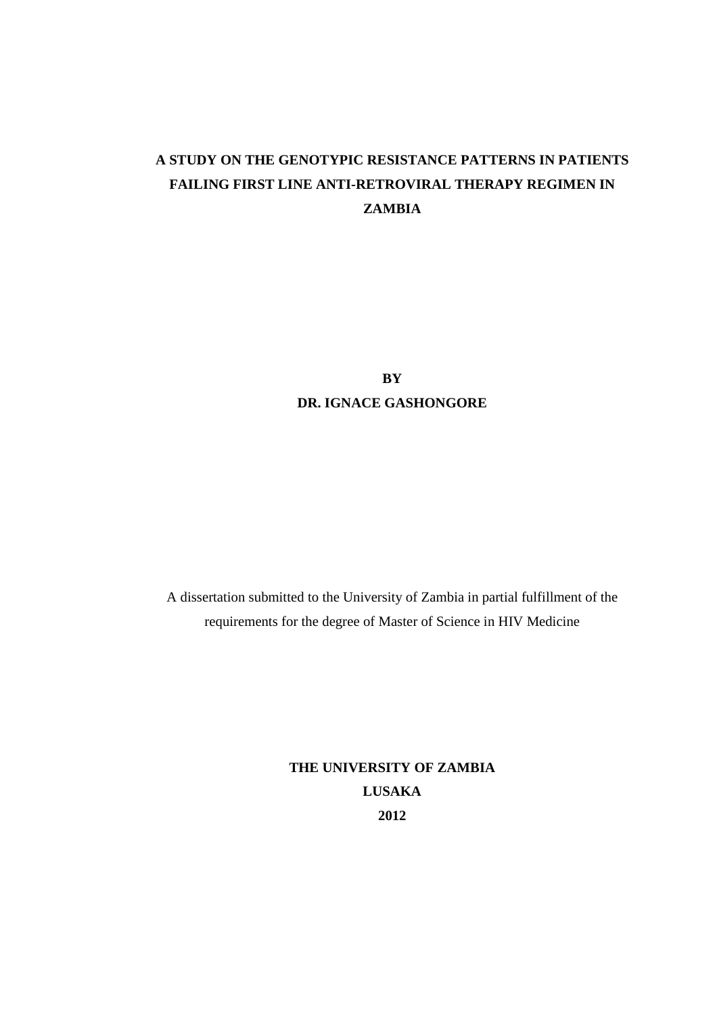# **A STUDY ON THE GENOTYPIC RESISTANCE PATTERNS IN PATIENTS FAILING FIRST LINE ANTI-RETROVIRAL THERAPY REGIMEN IN ZAMBIA**

**BY DR. IGNACE GASHONGORE** 

A dissertation submitted to the University of Zambia in partial fulfillment of the requirements for the degree of Master of Science in HIV Medicine

> **THE UNIVERSITY OF ZAMBIA LUSAKA 2012**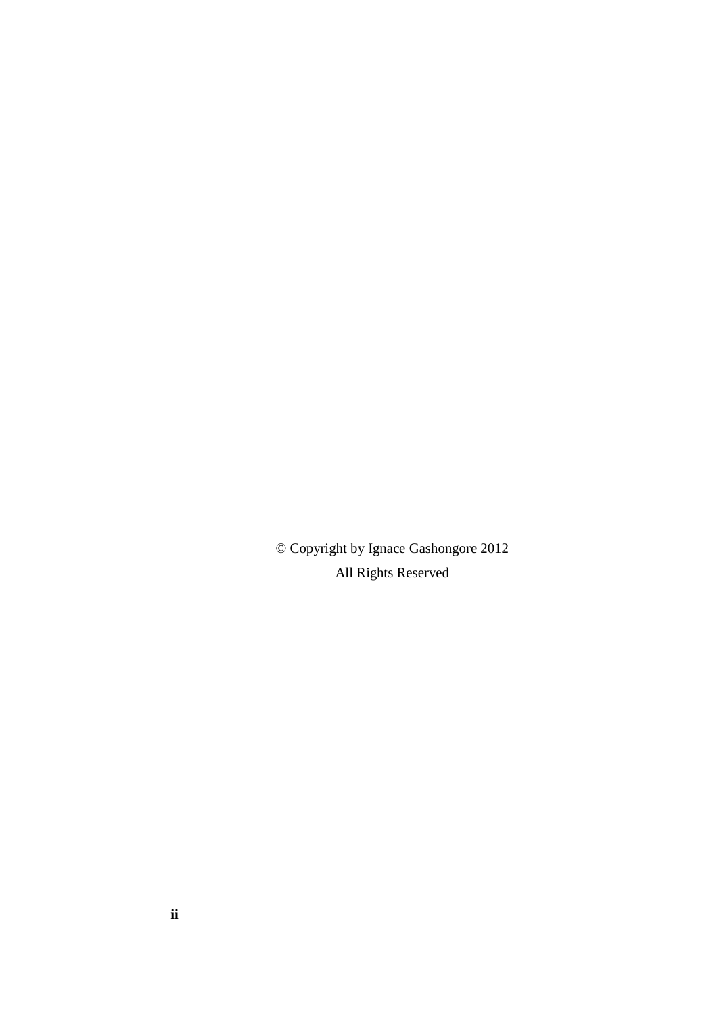© Copyright by Ignace Gashongore 2012 All Rights Reserved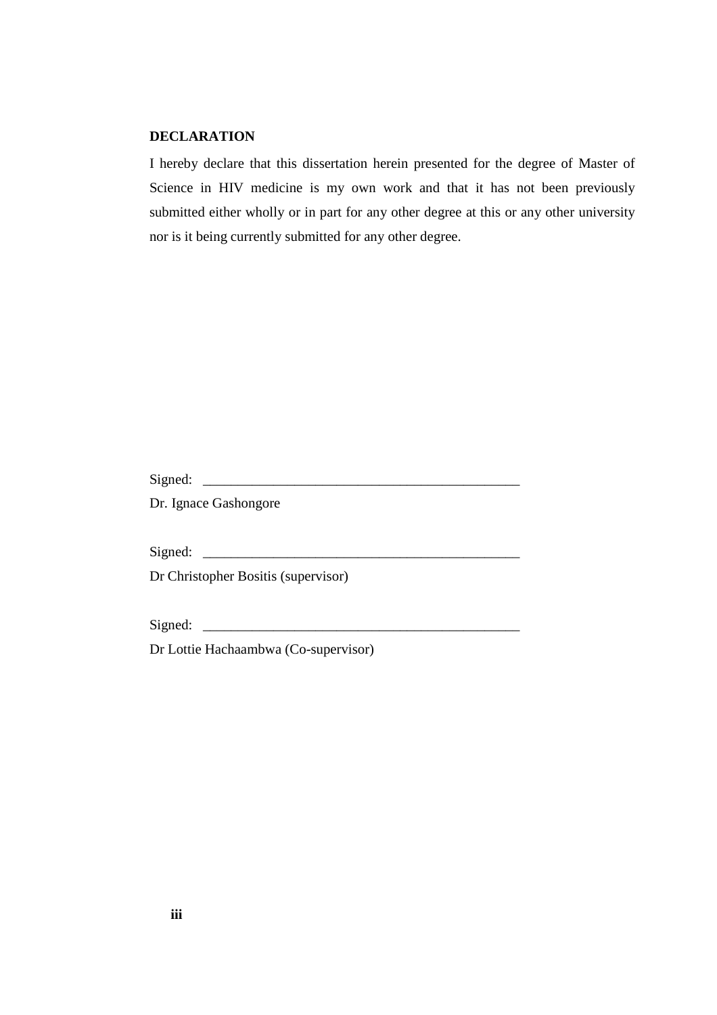### **DECLARATION**

I hereby declare that this dissertation herein presented for the degree of Master of Science in HIV medicine is my own work and that it has not been previously submitted either wholly or in part for any other degree at this or any other university nor is it being currently submitted for any other degree.

Signed: \_\_\_\_\_\_\_\_\_\_\_\_\_\_\_\_\_\_\_\_\_\_\_\_\_\_\_\_\_\_\_\_\_\_\_\_\_\_\_\_\_\_\_\_\_

Dr. Ignace Gashongore

Signed: \_\_\_\_\_\_\_\_\_\_\_\_\_\_\_\_\_\_\_\_\_\_\_\_\_\_\_\_\_\_\_\_\_\_\_\_\_\_\_\_\_\_\_\_\_

Dr Christopher Bositis (supervisor)

Signed: \_\_\_\_\_\_\_\_\_\_\_\_\_\_\_\_\_\_\_\_\_\_\_\_\_\_\_\_\_\_\_\_\_\_\_\_\_\_\_\_\_\_\_\_\_

Dr Lottie Hachaambwa (Co-supervisor)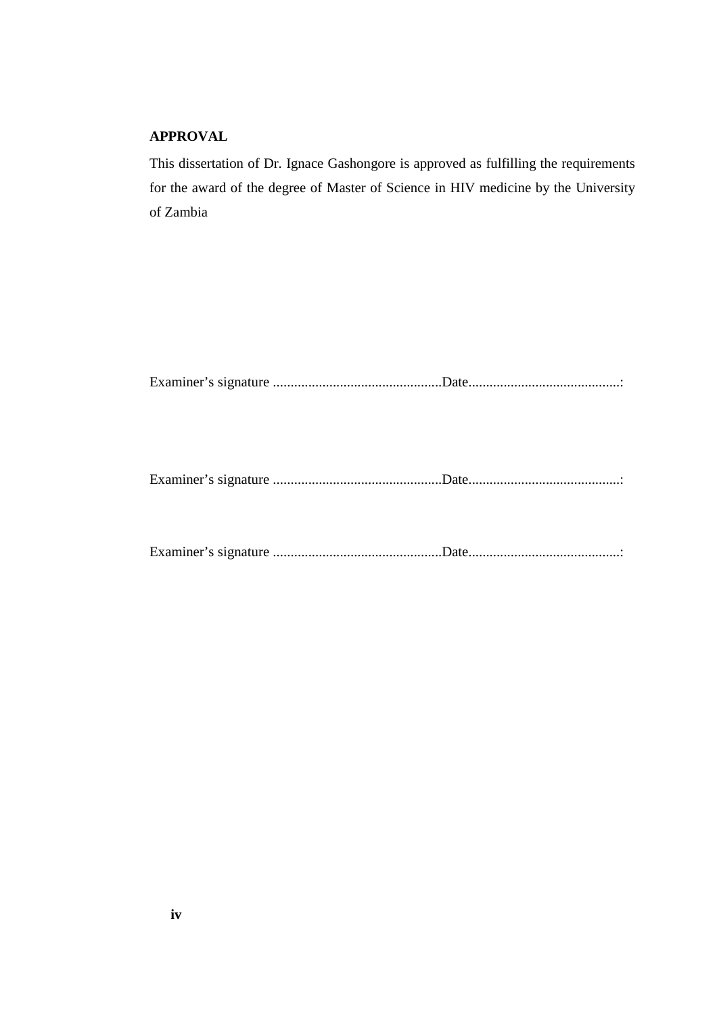## **APPROVAL**

This dissertation of Dr. Ignace Gashongore is approved as fulfilling the requirements for the award of the degree of Master of Science in HIV medicine by the University of Zambia

Examiner's signature ................................................Date...........................................:

Examiner's signature ................................................Date...........................................:

Examiner's signature ................................................Date...........................................: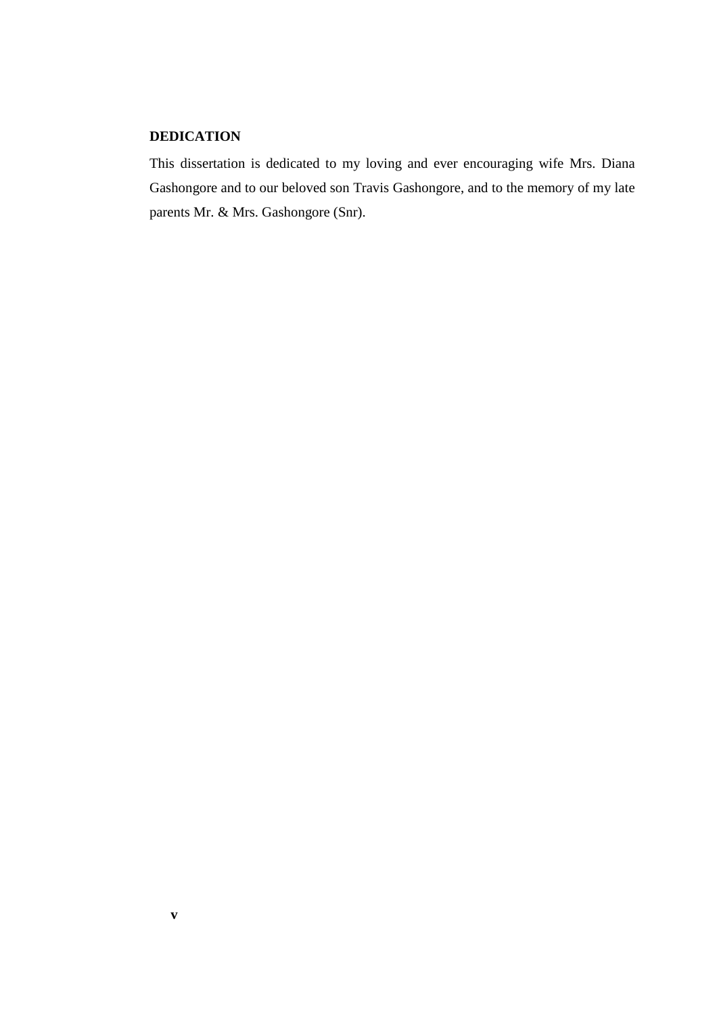## **DEDICATION**

This dissertation is dedicated to my loving and ever encouraging wife Mrs. Diana Gashongore and to our beloved son Travis Gashongore, and to the memory of my late parents Mr. & Mrs. Gashongore (Snr).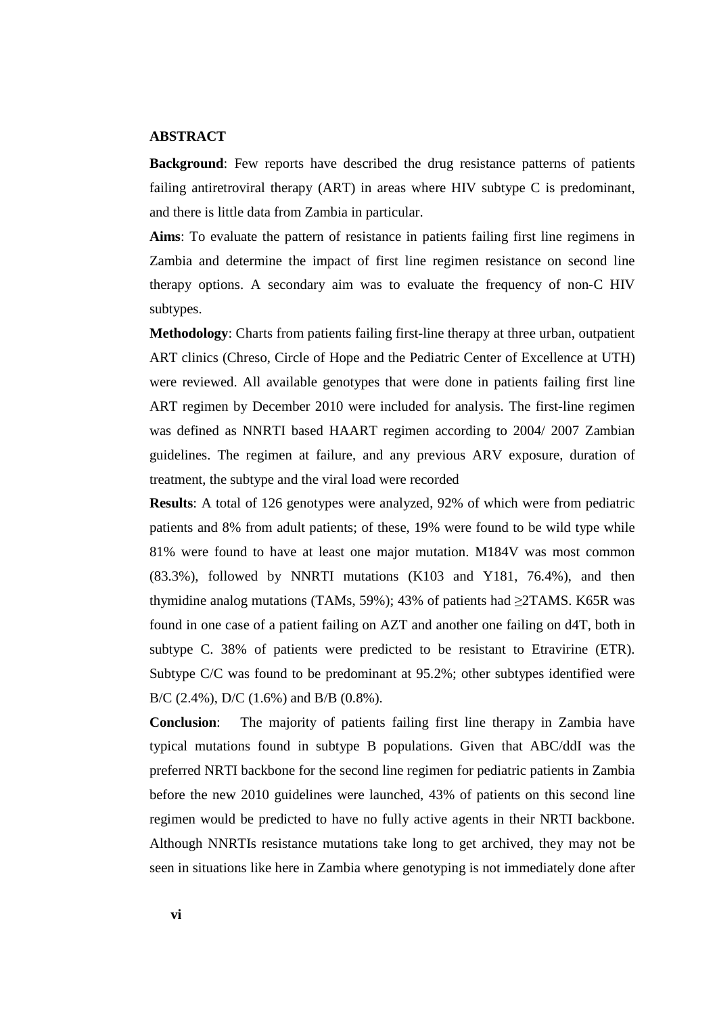#### **ABSTRACT**

**Background**: Few reports have described the drug resistance patterns of patients failing antiretroviral therapy (ART) in areas where HIV subtype C is predominant, and there is little data from Zambia in particular.

**Aims**: To evaluate the pattern of resistance in patients failing first line regimens in Zambia and determine the impact of first line regimen resistance on second line therapy options. A secondary aim was to evaluate the frequency of non-C HIV subtypes.

**Methodology**: Charts from patients failing first-line therapy at three urban, outpatient ART clinics (Chreso, Circle of Hope and the Pediatric Center of Excellence at UTH) were reviewed. All available genotypes that were done in patients failing first line ART regimen by December 2010 were included for analysis. The first-line regimen was defined as NNRTI based HAART regimen according to 2004/ 2007 Zambian guidelines. The regimen at failure, and any previous ARV exposure, duration of treatment, the subtype and the viral load were recorded

**Results**: A total of 126 genotypes were analyzed, 92% of which were from pediatric patients and 8% from adult patients; of these, 19% were found to be wild type while 81% were found to have at least one major mutation. M184V was most common (83.3%), followed by NNRTI mutations (K103 and Y181, 76.4%), and then thymidine analog mutations (TAMs, 59%); 43% of patients had  $\geq$ TAMS. K65R was found in one case of a patient failing on AZT and another one failing on d4T, both in subtype C. 38% of patients were predicted to be resistant to Etravirine (ETR). Subtype C/C was found to be predominant at 95.2%; other subtypes identified were B/C (2.4%), D/C (1.6%) and B/B (0.8%).

**Conclusion**: The majority of patients failing first line therapy in Zambia have typical mutations found in subtype B populations. Given that ABC/ddI was the preferred NRTI backbone for the second line regimen for pediatric patients in Zambia before the new 2010 guidelines were launched, 43% of patients on this second line regimen would be predicted to have no fully active agents in their NRTI backbone. Although NNRTIs resistance mutations take long to get archived, they may not be seen in situations like here in Zambia where genotyping is not immediately done after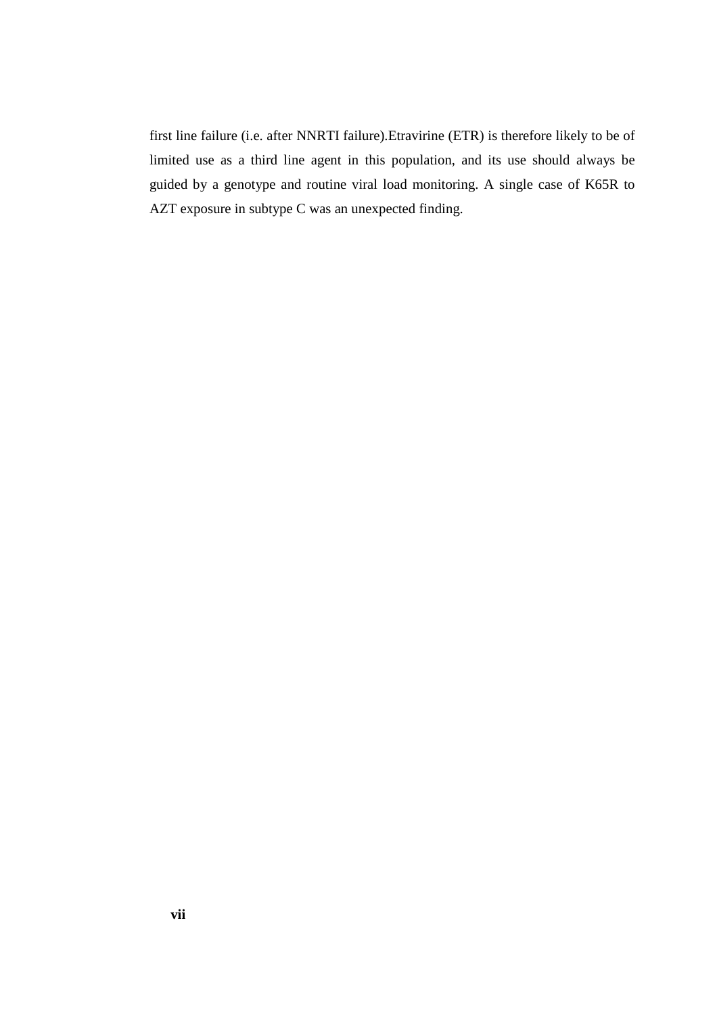first line failure (i.e. after NNRTI failure).Etravirine (ETR) is therefore likely to be of limited use as a third line agent in this population, and its use should always be guided by a genotype and routine viral load monitoring. A single case of K65R to AZT exposure in subtype C was an unexpected finding.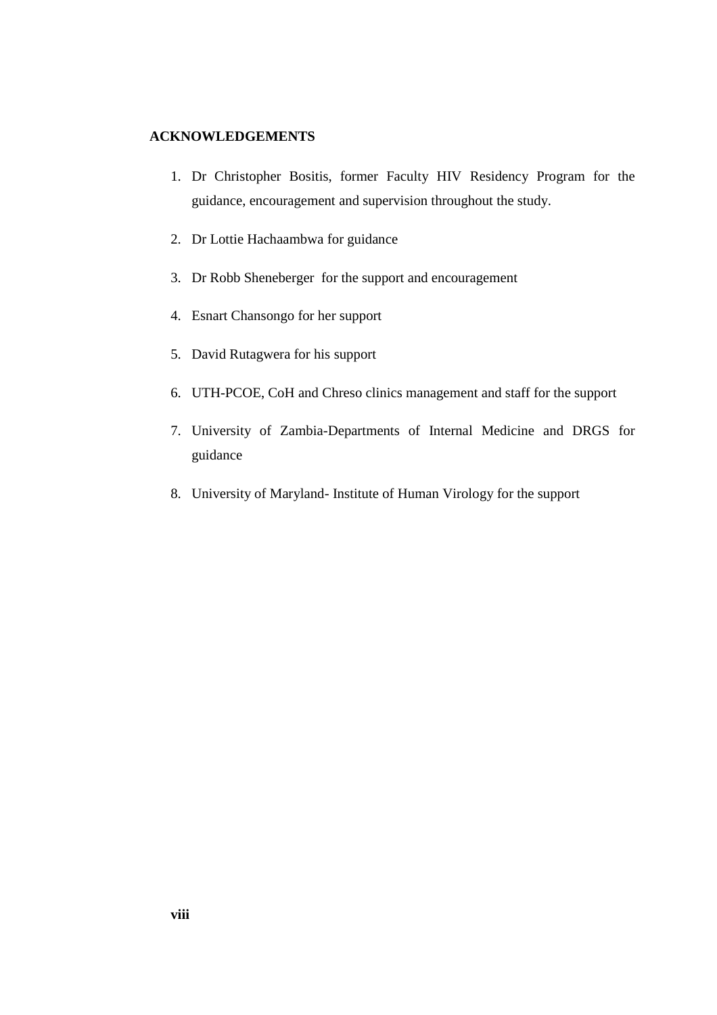### **ACKNOWLEDGEMENTS**

- 1. Dr Christopher Bositis, former Faculty HIV Residency Program for the guidance, encouragement and supervision throughout the study.
- 2. Dr Lottie Hachaambwa for guidance
- 3. Dr Robb Sheneberger for the support and encouragement
- 4. Esnart Chansongo for her support
- 5. David Rutagwera for his support
- 6. UTH-PCOE, CoH and Chreso clinics management and staff for the support
- 7. University of Zambia-Departments of Internal Medicine and DRGS for guidance
- 8. University of Maryland- Institute of Human Virology for the support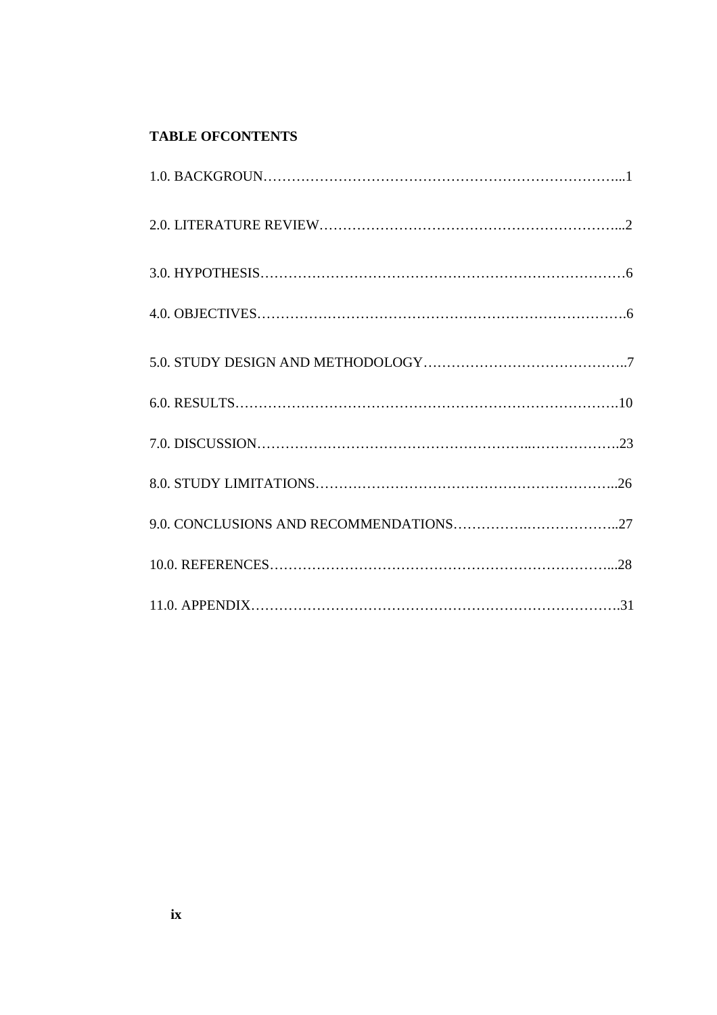## **TABLE OFCONTENTS**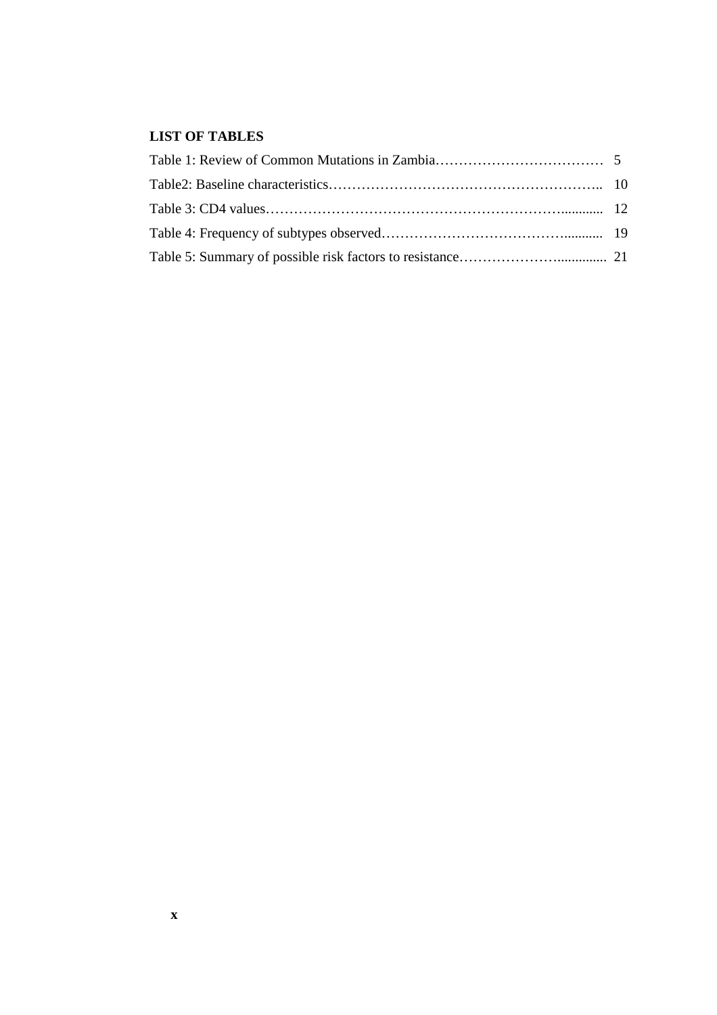## **LIST OF TABLES**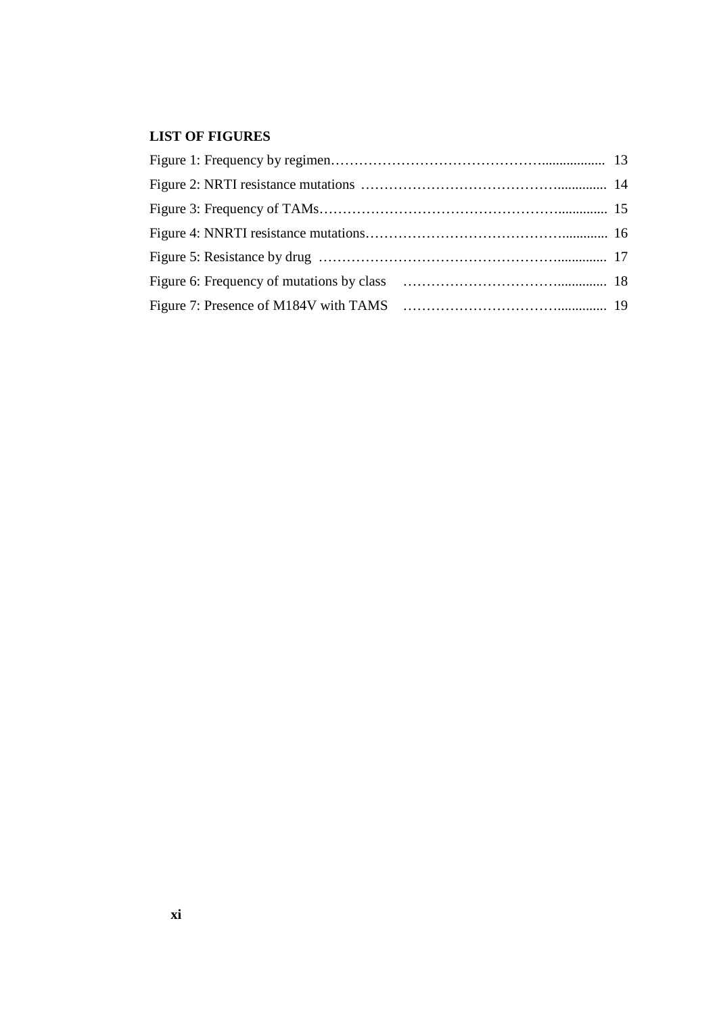## **LIST OF FIGURES**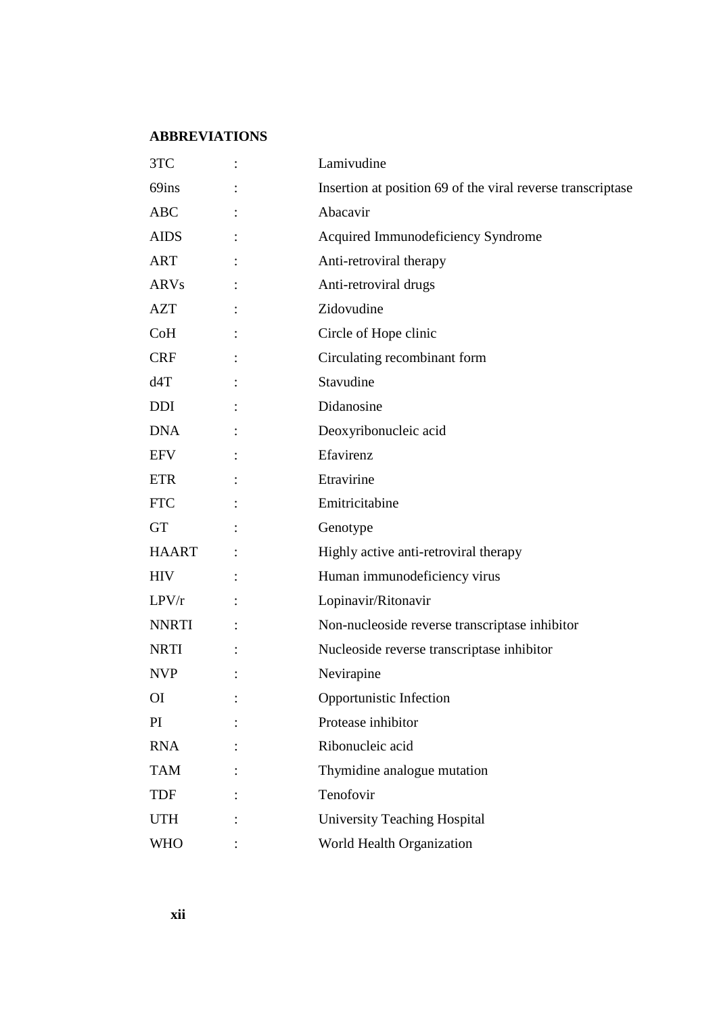## **ABBREVIATIONS**

| 3TC          | Lamivudine                                                  |
|--------------|-------------------------------------------------------------|
| 69ins        | Insertion at position 69 of the viral reverse transcriptase |
| <b>ABC</b>   | Abacavir                                                    |
| <b>AIDS</b>  | Acquired Immunodeficiency Syndrome                          |
| ART          | Anti-retroviral therapy                                     |
| <b>ARVs</b>  | Anti-retroviral drugs                                       |
| <b>AZT</b>   | Zidovudine                                                  |
| CoH          | Circle of Hope clinic                                       |
| <b>CRF</b>   | Circulating recombinant form                                |
| d4T          | Stavudine                                                   |
| <b>DDI</b>   | Didanosine                                                  |
| <b>DNA</b>   | Deoxyribonucleic acid                                       |
| EFV          | Efavirenz                                                   |
| ETR          | Etravirine                                                  |
| <b>FTC</b>   | Emitricitabine                                              |
| <b>GT</b>    | Genotype                                                    |
| <b>HAART</b> | Highly active anti-retroviral therapy                       |
| <b>HIV</b>   | Human immunodeficiency virus                                |
| LPV/r        | Lopinavir/Ritonavir                                         |
| <b>NNRTI</b> | Non-nucleoside reverse transcriptase inhibitor              |
| <b>NRTI</b>  | Nucleoside reverse transcriptase inhibitor                  |
| <b>NVP</b>   | Nevirapine                                                  |
| ΟI           | Opportunistic Infection                                     |
| PI           | Protease inhibitor                                          |
| <b>RNA</b>   | Ribonucleic acid                                            |
| <b>TAM</b>   | Thymidine analogue mutation                                 |
| <b>TDF</b>   | Tenofovir                                                   |
| <b>UTH</b>   | <b>University Teaching Hospital</b>                         |
| WHO          | World Health Organization                                   |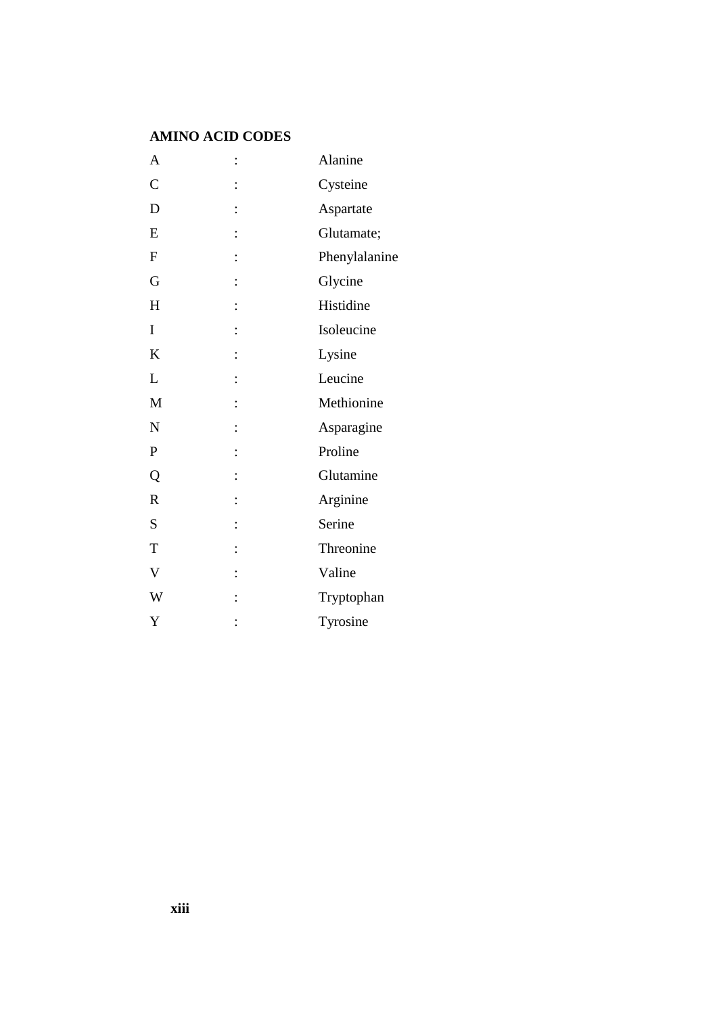## **AMINO ACID CODES**

| A                         | $\ddot{\cdot}$ | Alanine       |
|---------------------------|----------------|---------------|
| $\mathcal{C}$             |                | Cysteine      |
| D                         | :              | Aspartate     |
| E                         | $\ddot{\cdot}$ | Glutamate;    |
| $\mathbf F$               | $\ddot{\cdot}$ | Phenylalanine |
| G                         | :              | Glycine       |
| H                         |                | Histidine     |
| I                         | $\ddot{\cdot}$ | Isoleucine    |
| $\bf K$                   | $\ddot{\cdot}$ | Lysine        |
| L                         |                | Leucine       |
| M                         |                | Methionine    |
| $\mathbf N$               |                | Asparagine    |
| ${\bf P}$                 | $\ddot{\cdot}$ | Proline       |
| Q                         | $\ddot{\cdot}$ | Glutamine     |
| $\overline{\mathrm{R}}$   | $\ddot{\cdot}$ | Arginine      |
| S                         | :              | Serine        |
| T                         | $\ddot{\cdot}$ | Threonine     |
| $\boldsymbol{\mathrm{V}}$ | $\ddot{\cdot}$ | Valine        |
| W                         |                | Tryptophan    |
| Y                         |                | Tyrosine      |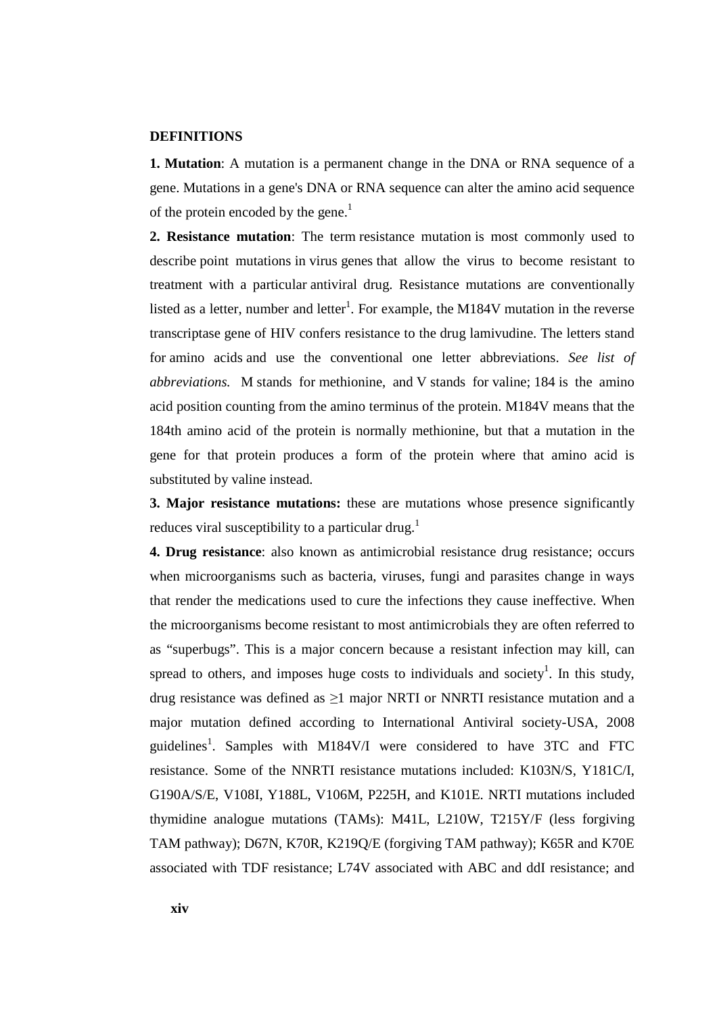#### **DEFINITIONS**

**1. Mutation**: A mutation is a permanent change in the DNA or RNA sequence of a gene. Mutations in a gene's DNA or RNA sequence can alter the amino acid sequence of the protein encoded by the gene.<sup>1</sup>

**2. Resistance mutation**: The term resistance mutation is most commonly used to describe point mutations in virus genes that allow the virus to become resistant to treatment with a particular antiviral drug. Resistance mutations are conventionally listed as a letter, number and letter<sup>1</sup>. For example, the M184V mutation in the reverse transcriptase gene of HIV confers resistance to the drug lamivudine. The letters stand for amino acids and use the conventional one letter abbreviations. *See list of abbreviations.* M stands for methionine, and V stands for valine; 184 is the amino acid position counting from the amino terminus of the protein. M184V means that the 184th amino acid of the protein is normally methionine, but that a mutation in the gene for that protein produces a form of the protein where that amino acid is substituted by valine instead.

**3. Major resistance mutations:** these are mutations whose presence significantly reduces viral susceptibility to a particular drug.<sup>1</sup>

**4. Drug resistance**: also known as antimicrobial resistance drug resistance; occurs when microorganisms such as bacteria, viruses, fungi and parasites change in ways that render the medications used to cure the infections they cause ineffective. When the microorganisms become resistant to most antimicrobials they are often referred to as "superbugs". This is a major concern because a resistant infection may kill, can spread to others, and imposes huge costs to individuals and society<sup>1</sup>. In this study, drug resistance was defined as ≥1 major NRTI or NNRTI resistance mutation and a major mutation defined according to International Antiviral society-USA, 2008 guidelines<sup>1</sup>. Samples with M184V/I were considered to have 3TC and FTC resistance. Some of the NNRTI resistance mutations included: K103N/S, Y181C/I, G190A/S/E, V108I, Y188L, V106M, P225H, and K101E. NRTI mutations included thymidine analogue mutations (TAMs): M41L, L210W, T215Y/F (less forgiving TAM pathway); D67N, K70R, K219Q/E (forgiving TAM pathway); K65R and K70E associated with TDF resistance; L74V associated with ABC and ddI resistance; and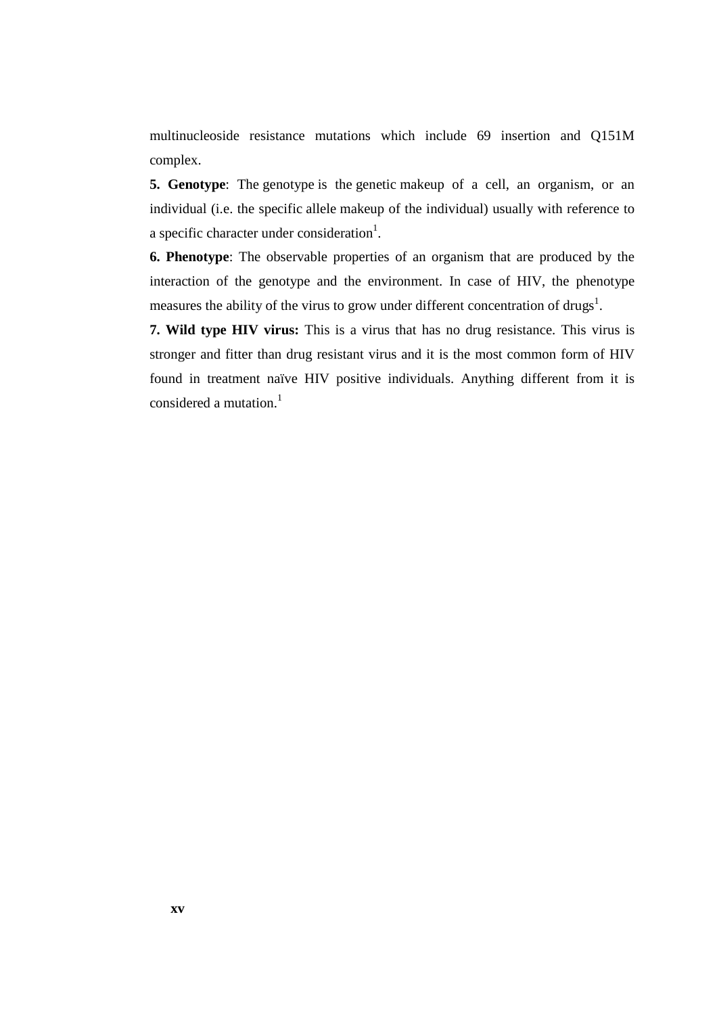multinucleoside resistance mutations which include 69 insertion and Q151M complex.

**5. Genotype**: The genotype is the genetic makeup of a cell, an organism, or an individual (i.e. the specific allele makeup of the individual) usually with reference to a specific character under consideration<sup>1</sup>.

**6. Phenotype**: The observable properties of an organism that are produced by the interaction of the genotype and the environment. In case of HIV, the phenotype measures the ability of the virus to grow under different concentration of drugs<sup>1</sup>.

**7. Wild type HIV virus:** This is a virus that has no drug resistance. This virus is stronger and fitter than drug resistant virus and it is the most common form of HIV found in treatment naïve HIV positive individuals. Anything different from it is considered a mutation. $<sup>1</sup>$ </sup>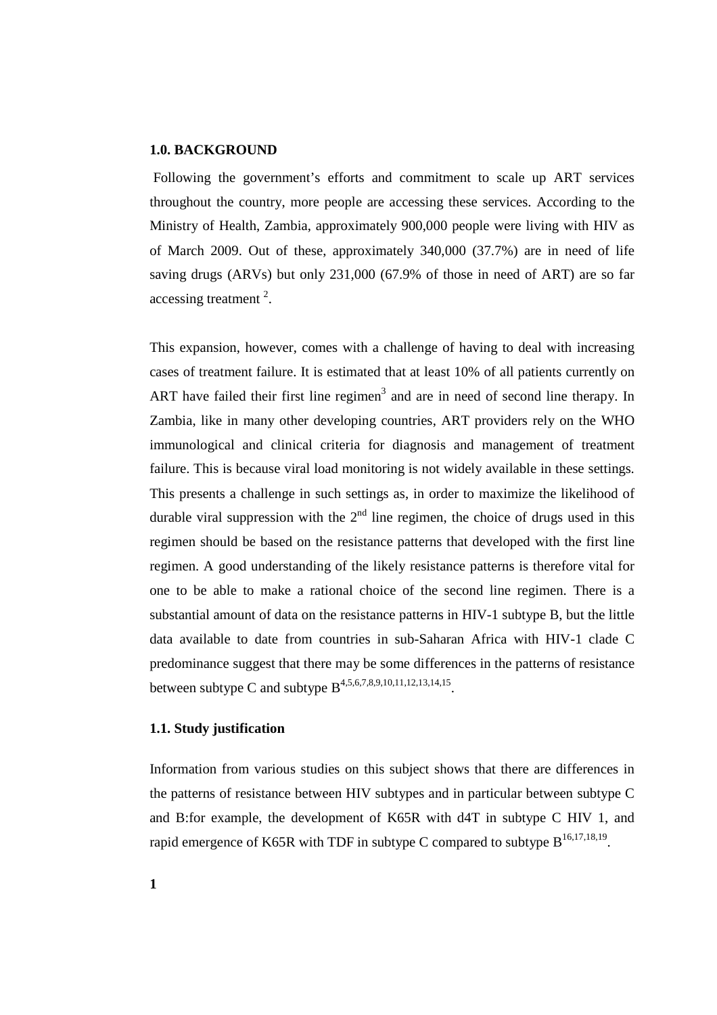#### **1.0. BACKGROUND**

 Following the government's efforts and commitment to scale up ART services throughout the country, more people are accessing these services. According to the Ministry of Health, Zambia, approximately 900,000 people were living with HIV as of March 2009. Out of these, approximately 340,000 (37.7%) are in need of life saving drugs (ARVs) but only 231,000 (67.9% of those in need of ART) are so far accessing treatment<sup>2</sup>.

This expansion, however, comes with a challenge of having to deal with increasing cases of treatment failure. It is estimated that at least 10% of all patients currently on ART have failed their first line regimen<sup>3</sup> and are in need of second line therapy. In Zambia, like in many other developing countries, ART providers rely on the WHO immunological and clinical criteria for diagnosis and management of treatment failure. This is because viral load monitoring is not widely available in these settings. This presents a challenge in such settings as, in order to maximize the likelihood of durable viral suppression with the  $2<sup>nd</sup>$  line regimen, the choice of drugs used in this regimen should be based on the resistance patterns that developed with the first line regimen. A good understanding of the likely resistance patterns is therefore vital for one to be able to make a rational choice of the second line regimen. There is a substantial amount of data on the resistance patterns in HIV-1 subtype B, but the little data available to date from countries in sub-Saharan Africa with HIV-1 clade C predominance suggest that there may be some differences in the patterns of resistance between subtype C and subtype  $B^{4,5,6,7,8,9,10,11,12,13,14,15}$ .

### **1.1. Study justification**

Information from various studies on this subject shows that there are differences in the patterns of resistance between HIV subtypes and in particular between subtype C and B:for example, the development of K65R with d4T in subtype C HIV 1, and rapid emergence of K65R with TDF in subtype C compared to subtype  $B^{16,17,18,19}$ .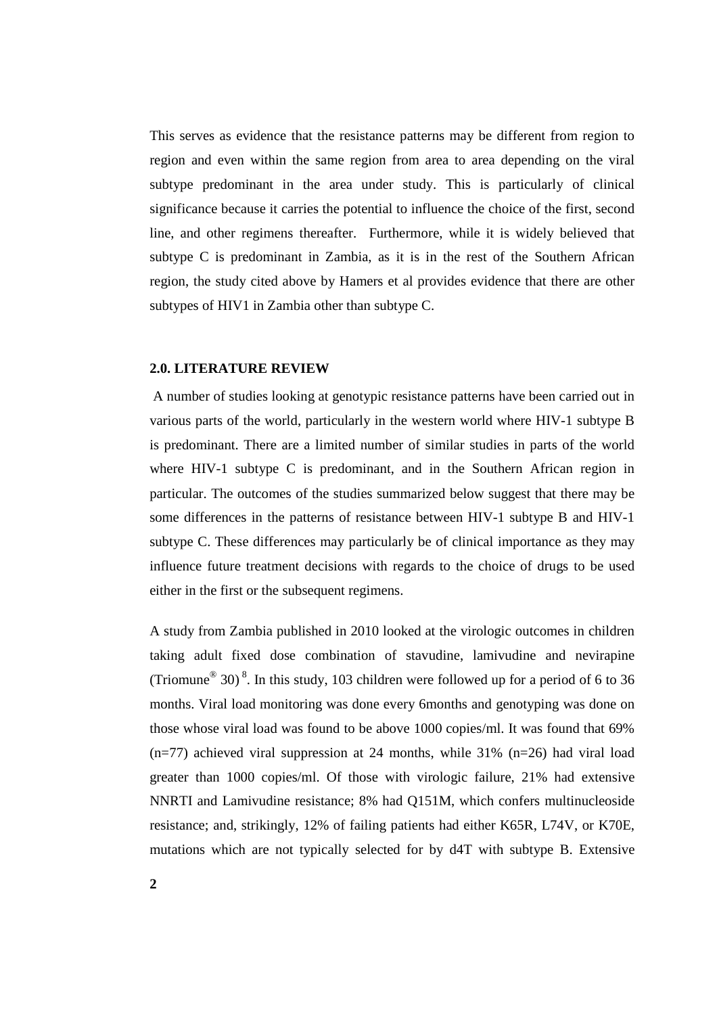This serves as evidence that the resistance patterns may be different from region to region and even within the same region from area to area depending on the viral subtype predominant in the area under study. This is particularly of clinical significance because it carries the potential to influence the choice of the first, second line, and other regimens thereafter. Furthermore, while it is widely believed that subtype C is predominant in Zambia, as it is in the rest of the Southern African region, the study cited above by Hamers et al provides evidence that there are other subtypes of HIV1 in Zambia other than subtype C.

#### **2.0. LITERATURE REVIEW**

 A number of studies looking at genotypic resistance patterns have been carried out in various parts of the world, particularly in the western world where HIV-1 subtype B is predominant. There are a limited number of similar studies in parts of the world where HIV-1 subtype C is predominant, and in the Southern African region in particular. The outcomes of the studies summarized below suggest that there may be some differences in the patterns of resistance between HIV-1 subtype B and HIV-1 subtype C. These differences may particularly be of clinical importance as they may influence future treatment decisions with regards to the choice of drugs to be used either in the first or the subsequent regimens.

A study from Zambia published in 2010 looked at the virologic outcomes in children taking adult fixed dose combination of stavudine, lamivudine and nevirapine (Triomune<sup>®</sup> 30)<sup>8</sup>. In this study, 103 children were followed up for a period of 6 to 36 months. Viral load monitoring was done every 6months and genotyping was done on those whose viral load was found to be above 1000 copies/ml. It was found that 69%  $(n=77)$  achieved viral suppression at 24 months, while 31%  $(n=26)$  had viral load greater than 1000 copies/ml. Of those with virologic failure, 21% had extensive NNRTI and Lamivudine resistance; 8% had Q151M, which confers multinucleoside resistance; and, strikingly, 12% of failing patients had either K65R, L74V, or K70E, mutations which are not typically selected for by d4T with subtype B. Extensive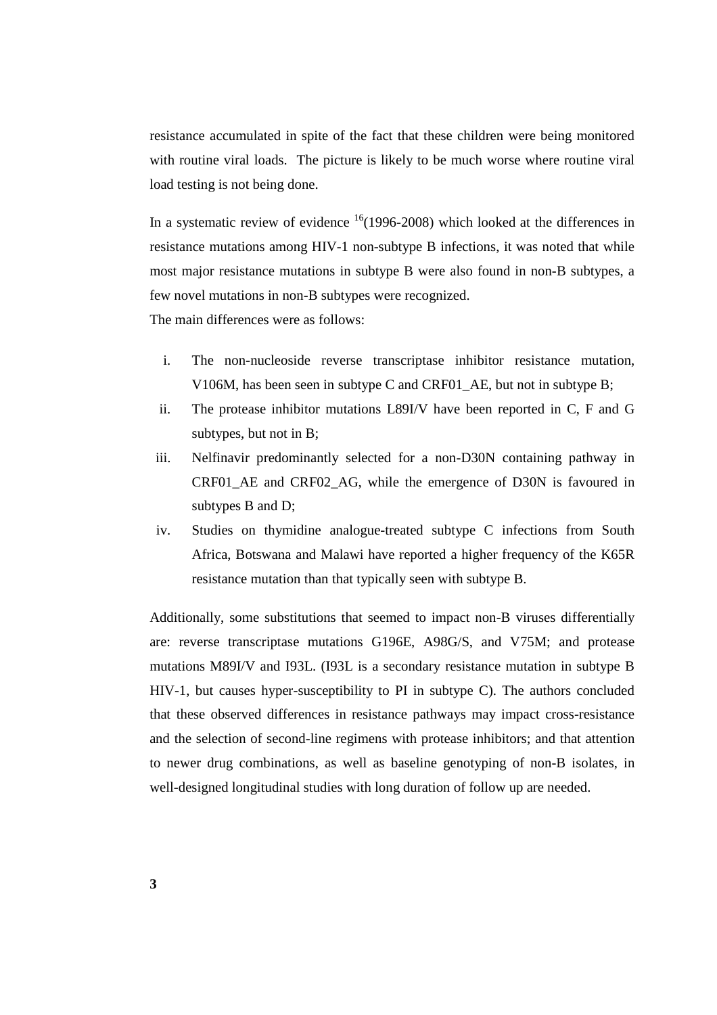resistance accumulated in spite of the fact that these children were being monitored with routine viral loads. The picture is likely to be much worse where routine viral load testing is not being done.

In a systematic review of evidence  $16(1996-2008)$  which looked at the differences in resistance mutations among HIV-1 non-subtype B infections, it was noted that while most major resistance mutations in subtype B were also found in non-B subtypes, a few novel mutations in non-B subtypes were recognized.

The main differences were as follows:

- i. The non-nucleoside reverse transcriptase inhibitor resistance mutation, V106M, has been seen in subtype C and CRF01\_AE, but not in subtype B;
- ii. The protease inhibitor mutations L89I/V have been reported in C, F and G subtypes, but not in B;
- iii. Nelfinavir predominantly selected for a non-D30N containing pathway in CRF01\_AE and CRF02\_AG, while the emergence of D30N is favoured in subtypes B and D;
- iv. Studies on thymidine analogue-treated subtype C infections from South Africa, Botswana and Malawi have reported a higher frequency of the K65R resistance mutation than that typically seen with subtype B.

Additionally, some substitutions that seemed to impact non-B viruses differentially are: reverse transcriptase mutations G196E, A98G/S, and V75M; and protease mutations M89I/V and I93L. (I93L is a secondary resistance mutation in subtype B HIV-1, but causes hyper-susceptibility to PI in subtype C). The authors concluded that these observed differences in resistance pathways may impact cross-resistance and the selection of second-line regimens with protease inhibitors; and that attention to newer drug combinations, as well as baseline genotyping of non-B isolates, in well-designed longitudinal studies with long duration of follow up are needed.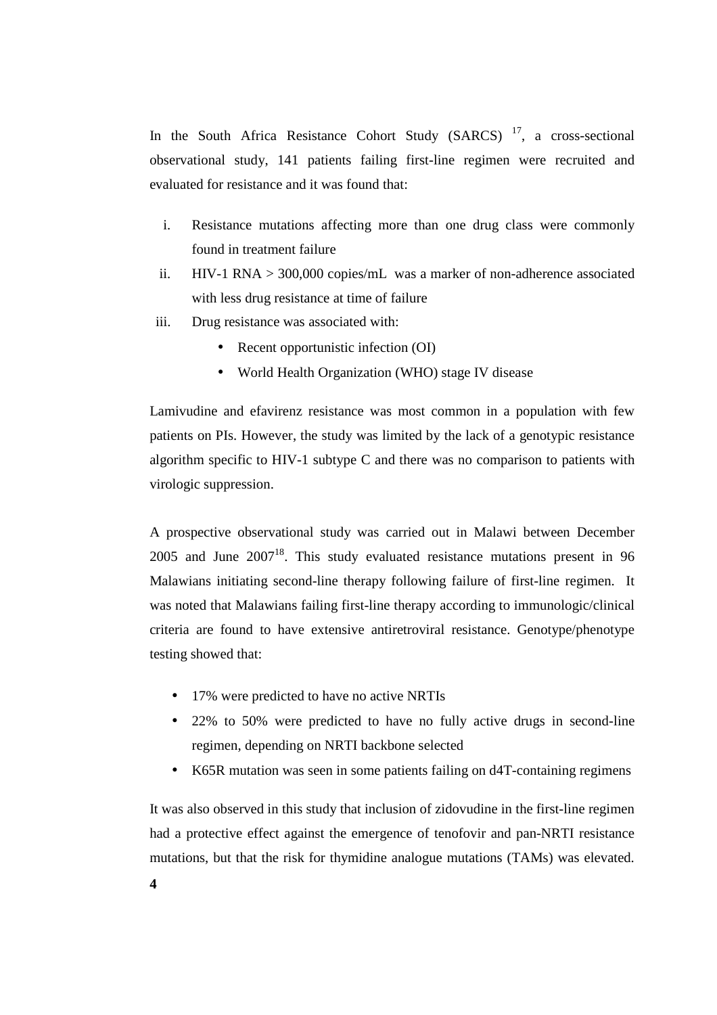In the South Africa Resistance Cohort Study (SARCS)<sup>17</sup>, a cross-sectional observational study, 141 patients failing first-line regimen were recruited and evaluated for resistance and it was found that:

- i. Resistance mutations affecting more than one drug class were commonly found in treatment failure
- ii. HIV-1 RNA > 300,000 copies/mL was a marker of non-adherence associated with less drug resistance at time of failure
- iii. Drug resistance was associated with:
	- Recent opportunistic infection (OI)
	- World Health Organization (WHO) stage IV disease

Lamivudine and efavirenz resistance was most common in a population with few patients on PIs. However, the study was limited by the lack of a genotypic resistance algorithm specific to HIV-1 subtype C and there was no comparison to patients with virologic suppression.

A prospective observational study was carried out in Malawi between December 2005 and June  $2007^{18}$ . This study evaluated resistance mutations present in 96 Malawians initiating second-line therapy following failure of first-line regimen. It was noted that Malawians failing first-line therapy according to immunologic/clinical criteria are found to have extensive antiretroviral resistance. Genotype/phenotype testing showed that:

- 17% were predicted to have no active NRTIs
- 22% to 50% were predicted to have no fully active drugs in second-line regimen, depending on NRTI backbone selected
- K65R mutation was seen in some patients failing on d4T-containing regimens

It was also observed in this study that inclusion of zidovudine in the first-line regimen had a protective effect against the emergence of tenofovir and pan-NRTI resistance mutations, but that the risk for thymidine analogue mutations (TAMs) was elevated.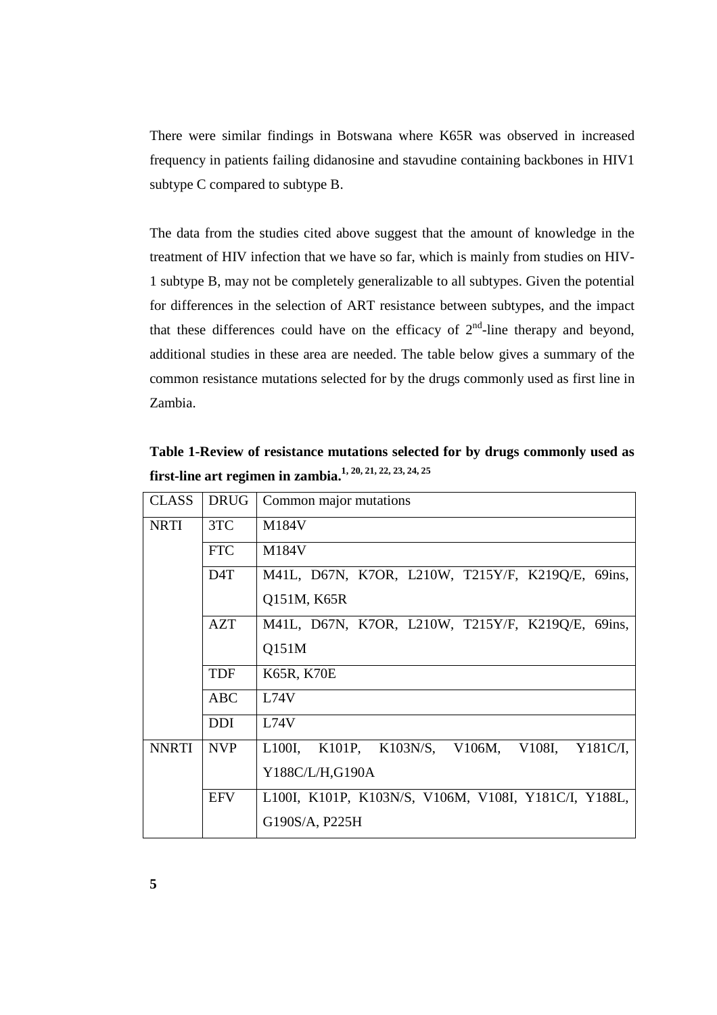There were similar findings in Botswana where K65R was observed in increased frequency in patients failing didanosine and stavudine containing backbones in HIV1 subtype C compared to subtype B.

The data from the studies cited above suggest that the amount of knowledge in the treatment of HIV infection that we have so far, which is mainly from studies on HIV-1 subtype B, may not be completely generalizable to all subtypes. Given the potential for differences in the selection of ART resistance between subtypes, and the impact that these differences could have on the efficacy of  $2<sup>nd</sup>$ -line therapy and beyond, additional studies in these area are needed. The table below gives a summary of the common resistance mutations selected for by the drugs commonly used as first line in Zambia.

**Table 1-Review of resistance mutations selected for by drugs commonly used as first-line art regimen in zambia.1, 20, 21, 22, 23, 24, 25** 

| <b>CLASS</b> | <b>DRUG</b> | Common major mutations                                 |  |  |  |
|--------------|-------------|--------------------------------------------------------|--|--|--|
| <b>NRTI</b>  | 3TC         | M184V                                                  |  |  |  |
|              | <b>FTC</b>  | M184V                                                  |  |  |  |
|              | D4T         | M41L, D67N, K7OR, L210W, T215Y/F, K219Q/E, 69ins,      |  |  |  |
|              |             | Q151M, K65R                                            |  |  |  |
|              | AZT         | M41L, D67N, K7OR, L210W, T215Y/F, K219Q/E, 69ins,      |  |  |  |
|              |             | Q151M                                                  |  |  |  |
|              | <b>TDF</b>  | <b>K65R, K70E</b>                                      |  |  |  |
|              | ABC         | L74V                                                   |  |  |  |
|              | <b>DDI</b>  | L74V                                                   |  |  |  |
| <b>NNRTI</b> | <b>NVP</b>  | L100I, K101P, K103N/S, V106M,<br>V108I,<br>$Y181C/I$ , |  |  |  |
|              |             | Y188C/L/H,G190A                                        |  |  |  |
|              | <b>EFV</b>  | L100I, K101P, K103N/S, V106M, V108I, Y181C/I, Y188L,   |  |  |  |
|              |             | G190S/A, P225H                                         |  |  |  |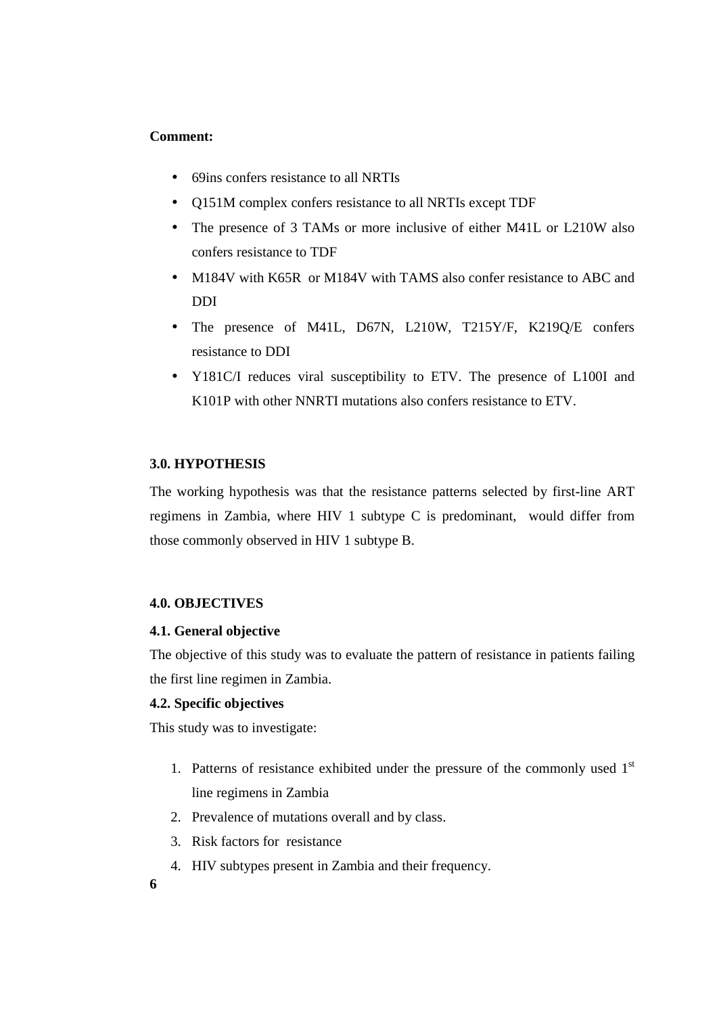### **Comment:**

- 69ins confers resistance to all NRTIs
- Q151M complex confers resistance to all NRTIs except TDF
- The presence of 3 TAMs or more inclusive of either M41L or L210W also confers resistance to TDF
- M184V with K65R or M184V with TAMS also confer resistance to ABC and DDI
- The presence of M41L, D67N, L210W, T215Y/F, K219Q/E confers resistance to DDI
- Y181C/I reduces viral susceptibility to ETV. The presence of L100I and K101P with other NNRTI mutations also confers resistance to ETV.

## **3.0. HYPOTHESIS**

The working hypothesis was that the resistance patterns selected by first-line ART regimens in Zambia, where HIV 1 subtype C is predominant, would differ from those commonly observed in HIV 1 subtype B.

## **4.0. OBJECTIVES**

#### **4.1. General objective**

The objective of this study was to evaluate the pattern of resistance in patients failing the first line regimen in Zambia.

#### **4.2. Specific objectives**

This study was to investigate:

- 1. Patterns of resistance exhibited under the pressure of the commonly used  $1<sup>st</sup>$ line regimens in Zambia
- 2. Prevalence of mutations overall and by class.
- 3. Risk factors for resistance
- 4. HIV subtypes present in Zambia and their frequency.

**6**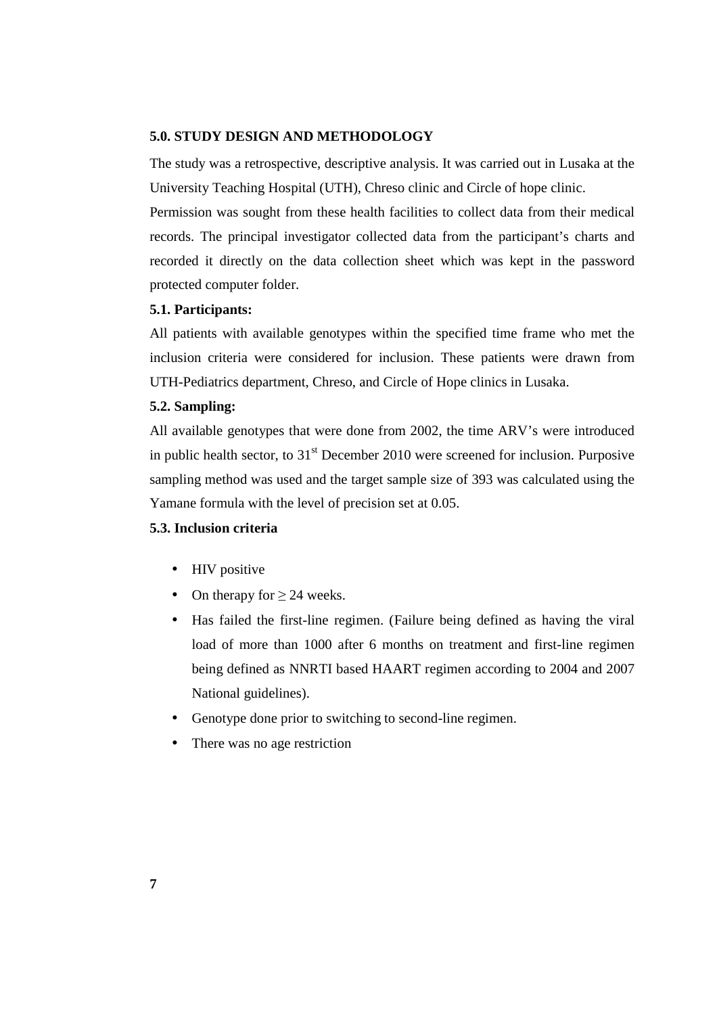#### **5.0. STUDY DESIGN AND METHODOLOGY**

The study was a retrospective, descriptive analysis. It was carried out in Lusaka at the University Teaching Hospital (UTH), Chreso clinic and Circle of hope clinic.

Permission was sought from these health facilities to collect data from their medical records. The principal investigator collected data from the participant's charts and recorded it directly on the data collection sheet which was kept in the password protected computer folder.

## **5.1. Participants:**

All patients with available genotypes within the specified time frame who met the inclusion criteria were considered for inclusion. These patients were drawn from UTH-Pediatrics department, Chreso, and Circle of Hope clinics in Lusaka.

## **5.2. Sampling:**

All available genotypes that were done from 2002, the time ARV's were introduced in public health sector, to  $31<sup>st</sup>$  December 2010 were screened for inclusion. Purposive sampling method was used and the target sample size of 393 was calculated using the Yamane formula with the level of precision set at 0.05.

## **5.3. Inclusion criteria**

- HIV positive
- On therapy for  $\geq$  24 weeks.
- Has failed the first-line regimen. (Failure being defined as having the viral load of more than 1000 after 6 months on treatment and first-line regimen being defined as NNRTI based HAART regimen according to 2004 and 2007 National guidelines).
- Genotype done prior to switching to second-line regimen.
- There was no age restriction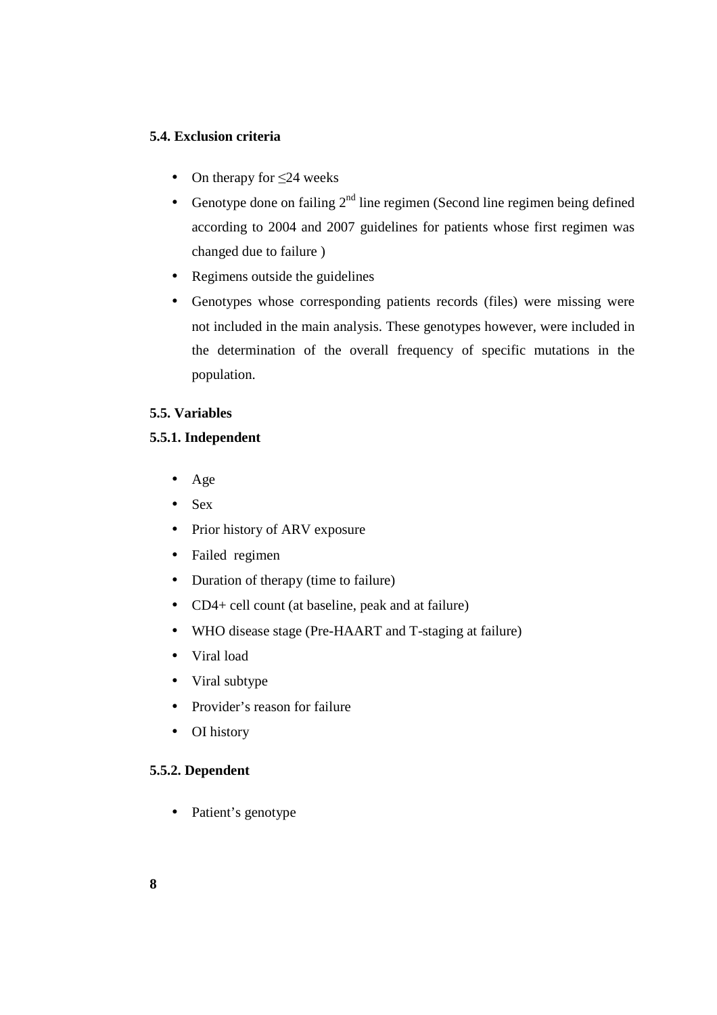## **5.4. Exclusion criteria**

- On therapy for  $\leq$ 24 weeks
- Genotype done on failing  $2<sup>nd</sup>$  line regimen (Second line regimen being defined according to 2004 and 2007 guidelines for patients whose first regimen was changed due to failure )
- Regimens outside the guidelines
- Genotypes whose corresponding patients records (files) were missing were not included in the main analysis. These genotypes however, were included in the determination of the overall frequency of specific mutations in the population.

## **5.5. Variables**

## **5.5.1. Independent**

- Age
- Sex
- Prior history of ARV exposure
- Failed regimen
- Duration of therapy (time to failure)
- CD4+ cell count (at baseline, peak and at failure)
- WHO disease stage (Pre-HAART and T-staging at failure)
- Viral load
- Viral subtype
- Provider's reason for failure
- OI history

## **5.5.2. Dependent**

• Patient's genotype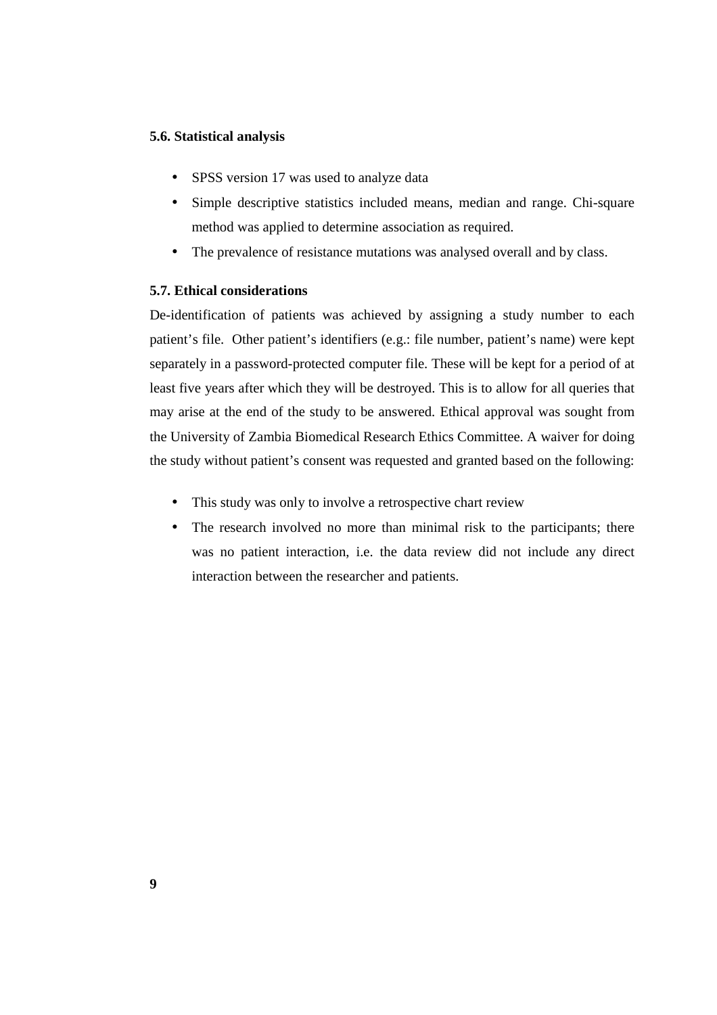#### **5.6. Statistical analysis**

- SPSS version 17 was used to analyze data
- Simple descriptive statistics included means, median and range. Chi-square method was applied to determine association as required.
- The prevalence of resistance mutations was analysed overall and by class.

#### **5.7. Ethical considerations**

De-identification of patients was achieved by assigning a study number to each patient's file. Other patient's identifiers (e.g.: file number, patient's name) were kept separately in a password-protected computer file. These will be kept for a period of at least five years after which they will be destroyed. This is to allow for all queries that may arise at the end of the study to be answered. Ethical approval was sought from the University of Zambia Biomedical Research Ethics Committee. A waiver for doing the study without patient's consent was requested and granted based on the following:

- This study was only to involve a retrospective chart review
- The research involved no more than minimal risk to the participants; there was no patient interaction, i.e. the data review did not include any direct interaction between the researcher and patients.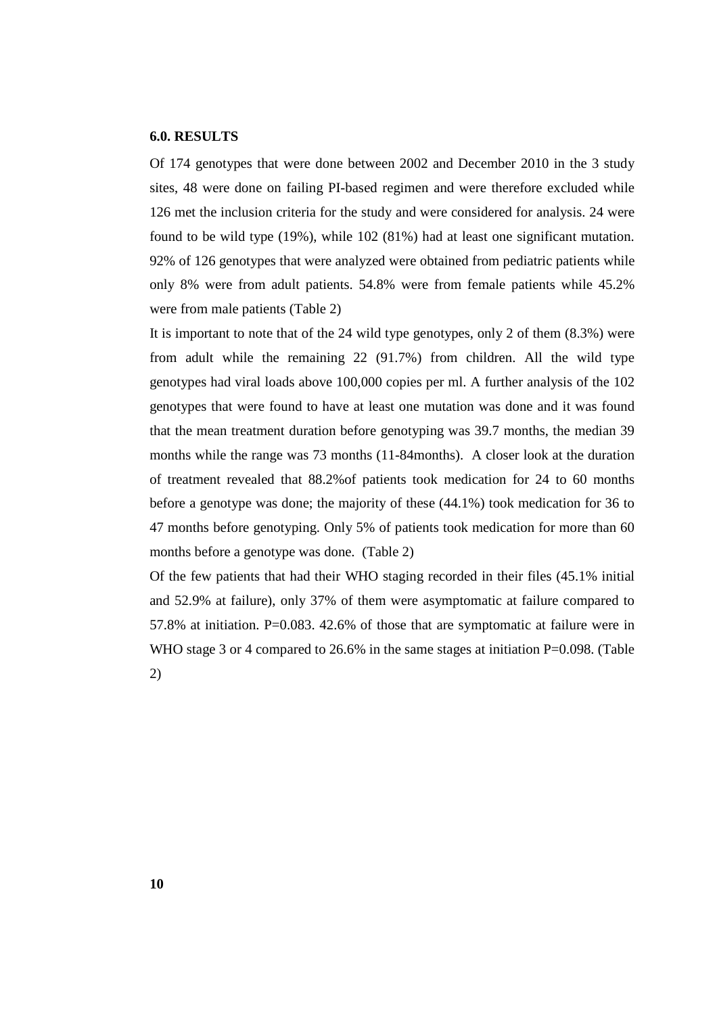#### **6.0. RESULTS**

Of 174 genotypes that were done between 2002 and December 2010 in the 3 study sites, 48 were done on failing PI-based regimen and were therefore excluded while 126 met the inclusion criteria for the study and were considered for analysis. 24 were found to be wild type (19%), while 102 (81%) had at least one significant mutation. 92% of 126 genotypes that were analyzed were obtained from pediatric patients while only 8% were from adult patients. 54.8% were from female patients while 45.2% were from male patients (Table 2)

It is important to note that of the 24 wild type genotypes, only 2 of them (8.3%) were from adult while the remaining 22 (91.7%) from children. All the wild type genotypes had viral loads above 100,000 copies per ml. A further analysis of the 102 genotypes that were found to have at least one mutation was done and it was found that the mean treatment duration before genotyping was 39.7 months, the median 39 months while the range was 73 months (11-84months). A closer look at the duration of treatment revealed that 88.2%of patients took medication for 24 to 60 months before a genotype was done; the majority of these (44.1%) took medication for 36 to 47 months before genotyping. Only 5% of patients took medication for more than 60 months before a genotype was done. (Table 2)

Of the few patients that had their WHO staging recorded in their files (45.1% initial and 52.9% at failure), only 37% of them were asymptomatic at failure compared to 57.8% at initiation. P=0.083. 42.6% of those that are symptomatic at failure were in WHO stage 3 or 4 compared to 26.6% in the same stages at initiation P=0.098. (Table 2)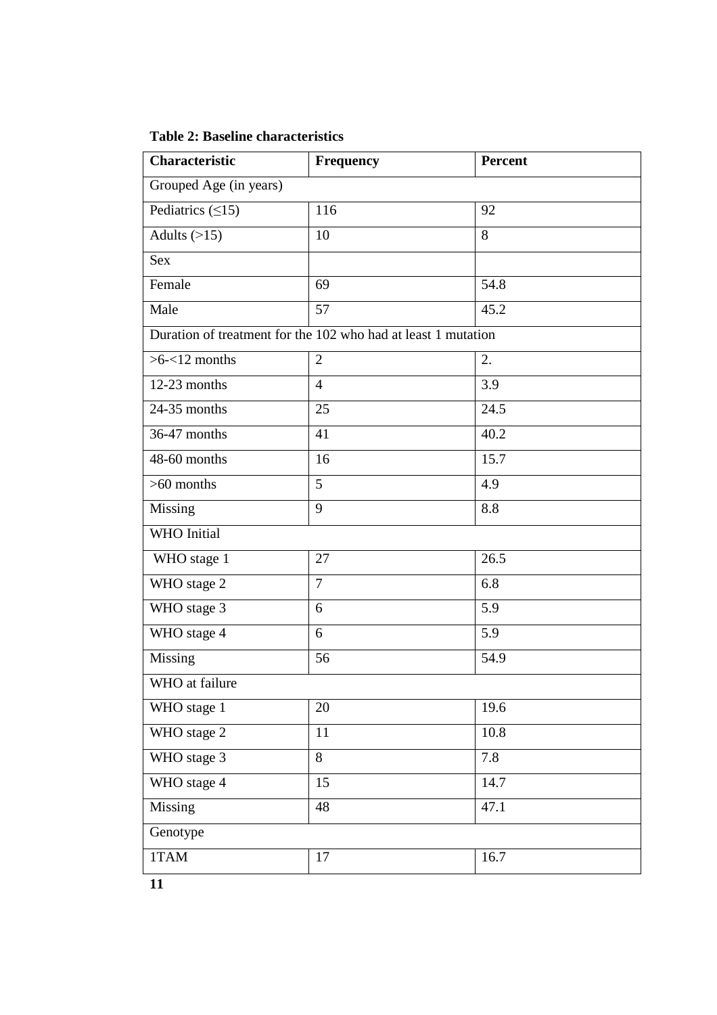| <b>Table 2: Baseline characteristics</b> |  |
|------------------------------------------|--|
|------------------------------------------|--|

| <b>Characteristic</b>  | <b>Frequency</b>                                              | Percent |  |  |
|------------------------|---------------------------------------------------------------|---------|--|--|
| Grouped Age (in years) |                                                               |         |  |  |
| Pediatrics $(\leq 15)$ | 116                                                           | 92      |  |  |
| Adults $(>15)$         | 10                                                            | 8       |  |  |
| <b>Sex</b>             |                                                               |         |  |  |
| Female                 | 69                                                            | 54.8    |  |  |
| Male                   | 57                                                            | 45.2    |  |  |
|                        | Duration of treatment for the 102 who had at least 1 mutation |         |  |  |
| $>6 - 12$ months       | 2                                                             | 2.      |  |  |
| $12-23$ months         | $\overline{4}$                                                | 3.9     |  |  |
| 24-35 months           | 25                                                            | 24.5    |  |  |
| 36-47 months           | 41                                                            | 40.2    |  |  |
| 48-60 months           | 16                                                            | 15.7    |  |  |
| $>60$ months           | 5                                                             | 4.9     |  |  |
| Missing                | 9                                                             | 8.8     |  |  |
| <b>WHO</b> Initial     |                                                               |         |  |  |
| WHO stage 1            | 27                                                            | 26.5    |  |  |
| WHO stage 2            | $\overline{7}$                                                | 6.8     |  |  |
| WHO stage 3            | 6                                                             | 5.9     |  |  |
| WHO stage 4            | 6                                                             | 5.9     |  |  |
| Missing                | 56                                                            | 54.9    |  |  |
| WHO at failure         |                                                               |         |  |  |
| WHO stage 1            | 20                                                            | 19.6    |  |  |
| WHO stage 2            | 11                                                            | 10.8    |  |  |
| WHO stage 3            | 8                                                             | 7.8     |  |  |
| WHO stage 4            | 15                                                            | 14.7    |  |  |
| Missing                | 48                                                            | 47.1    |  |  |
| Genotype               |                                                               |         |  |  |
| 1TAM                   | 17                                                            | 16.7    |  |  |
|                        |                                                               |         |  |  |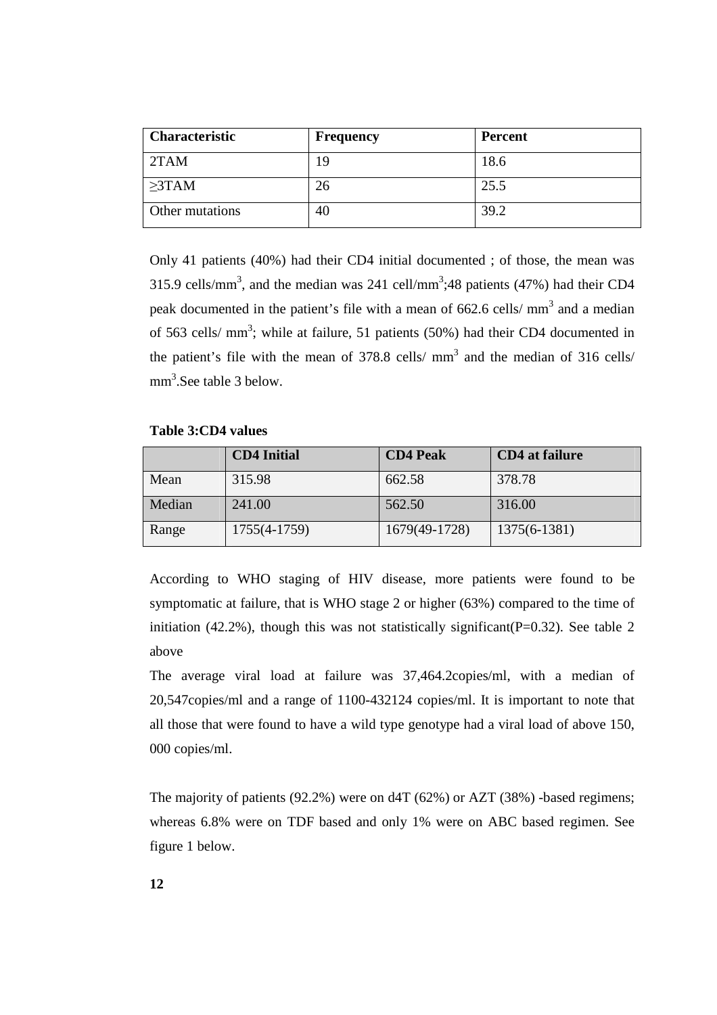| <b>Characteristic</b> | <b>Frequency</b> | Percent |
|-----------------------|------------------|---------|
| 2TAM                  | 19               | 18.6    |
| $\geq$ 3TAM           | 26               | 25.5    |
| Other mutations       | 40               | 39.2    |

Only 41 patients (40%) had their CD4 initial documented ; of those, the mean was 315.9 cells/mm<sup>3</sup>, and the median was 241 cell/mm<sup>3</sup>;48 patients (47%) had their CD4 peak documented in the patient's file with a mean of  $662.6$  cells/ $\text{mm}^3$  and a median of 563 cells/ $mm<sup>3</sup>$ ; while at failure, 51 patients (50%) had their CD4 documented in the patient's file with the mean of 378.8 cells/ $mm<sup>3</sup>$  and the median of 316 cells/ mm<sup>3</sup>.See table 3 below.

**Table 3:CD4 values** 

|        | <b>CD4 Initial</b> | <b>CD4 Peak</b> | <b>CD4</b> at failure |
|--------|--------------------|-----------------|-----------------------|
| Mean   | 315.98             | 662.58          | 378.78                |
| Median | 241.00             | 562.50          | 316.00                |
| Range  | 1755(4-1759)       | 1679(49-1728)   | 1375(6-1381)          |

According to WHO staging of HIV disease, more patients were found to be symptomatic at failure, that is WHO stage 2 or higher (63%) compared to the time of initiation (42.2%), though this was not statistically significant( $P=0.32$ ). See table 2 above

The average viral load at failure was 37,464.2copies/ml, with a median of 20,547copies/ml and a range of 1100-432124 copies/ml. It is important to note that all those that were found to have a wild type genotype had a viral load of above 150, 000 copies/ml.

The majority of patients (92.2%) were on d4T (62%) or AZT (38%) -based regimens; whereas 6.8% were on TDF based and only 1% were on ABC based regimen. See figure 1 below.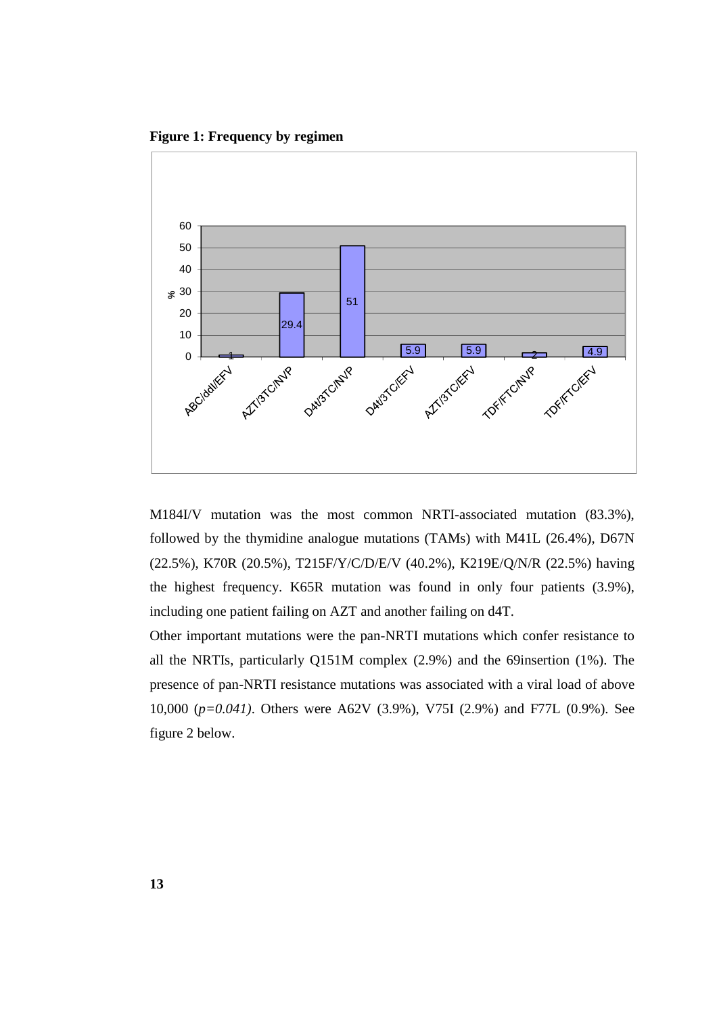**Figure 1: Frequency by regimen** 



M184I/V mutation was the most common NRTI-associated mutation (83.3%), followed by the thymidine analogue mutations (TAMs) with M41L (26.4%), D67N (22.5%), K70R (20.5%), T215F/Y/C/D/E/V (40.2%), K219E/Q/N/R (22.5%) having the highest frequency. K65R mutation was found in only four patients (3.9%), including one patient failing on AZT and another failing on d4T.

Other important mutations were the pan-NRTI mutations which confer resistance to all the NRTIs, particularly Q151M complex (2.9%) and the 69insertion (1%). The presence of pan-NRTI resistance mutations was associated with a viral load of above 10,000 (*p=0.041)*. Others were A62V (3.9%), V75I (2.9%) and F77L (0.9%). See figure 2 below.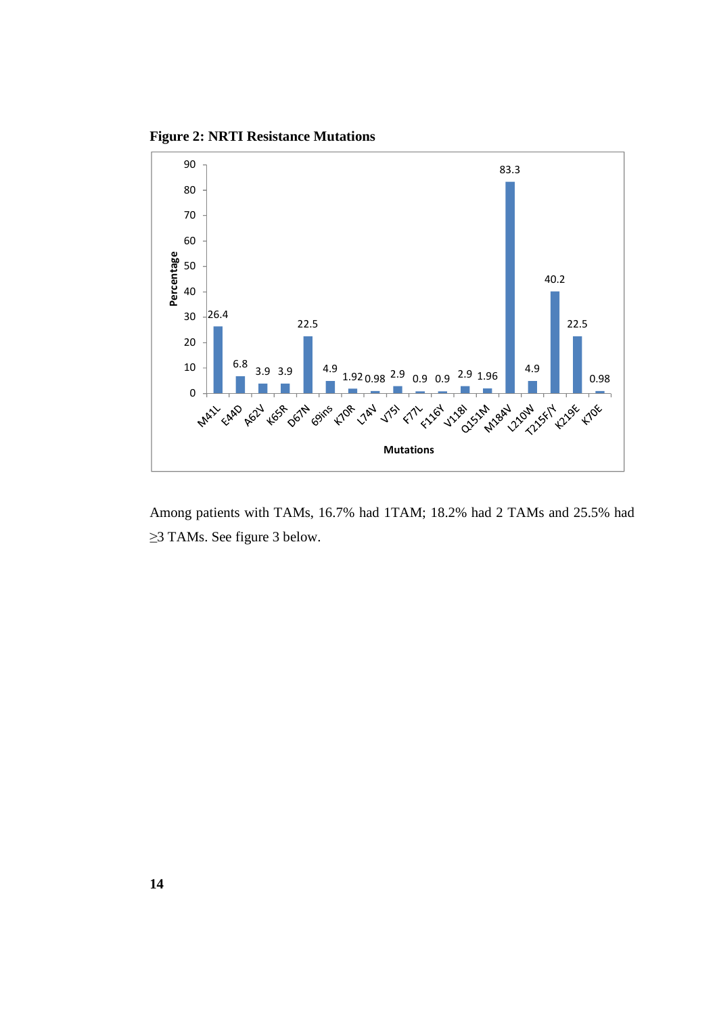**Figure 2: NRTI Resistance Mutations** 



Among patients with TAMs, 16.7% had 1TAM; 18.2% had 2 TAMs and 25.5% had ≥3 TAMs. See figure 3 below.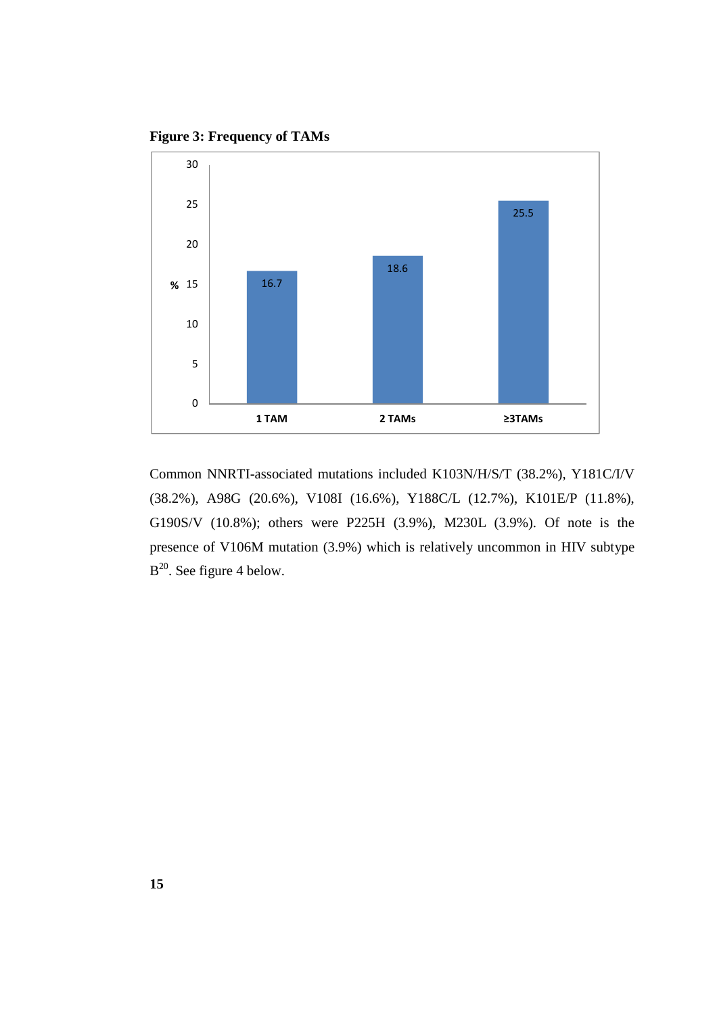**Figure 3: Frequency of TAMs** 



Common NNRTI-associated mutations included K103N/H/S/T (38.2%), Y181C/I/V (38.2%), A98G (20.6%), V108I (16.6%), Y188C/L (12.7%), K101E/P (11.8%), G190S/V (10.8%); others were P225H (3.9%), M230L (3.9%). Of note is the presence of V106M mutation (3.9%) which is relatively uncommon in HIV subtype  $B^{20}$ . See figure 4 below.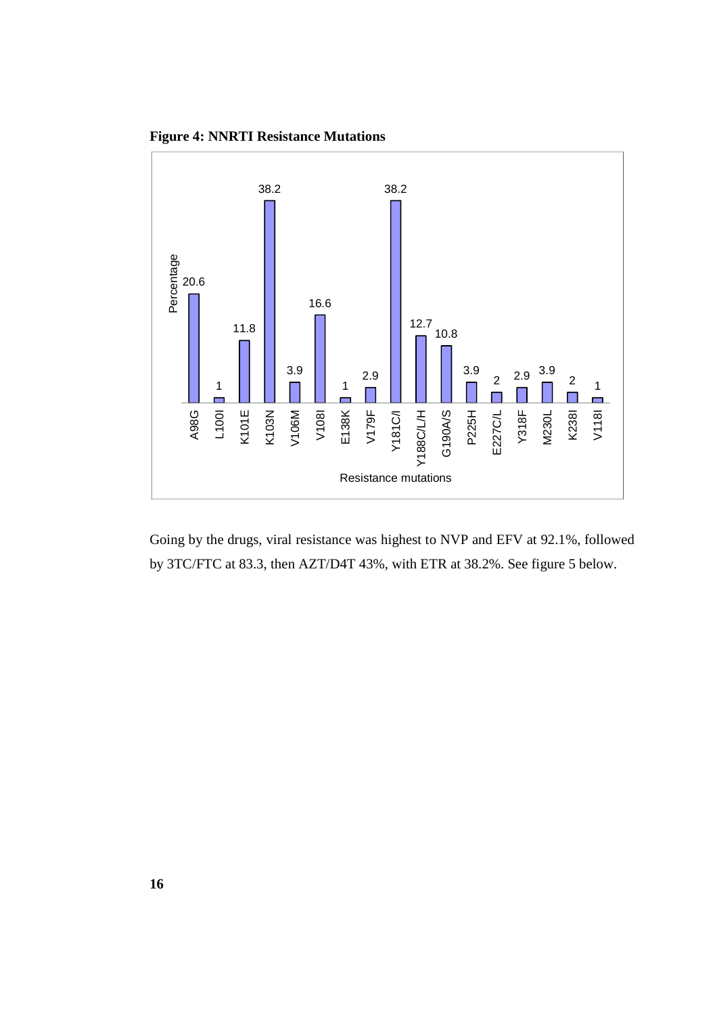**Figure 4: NNRTI Resistance Mutations** 



Going by the drugs, viral resistance was highest to NVP and EFV at 92.1%, followed by 3TC/FTC at 83.3, then AZT/D4T 43%, with ETR at 38.2%. See figure 5 below.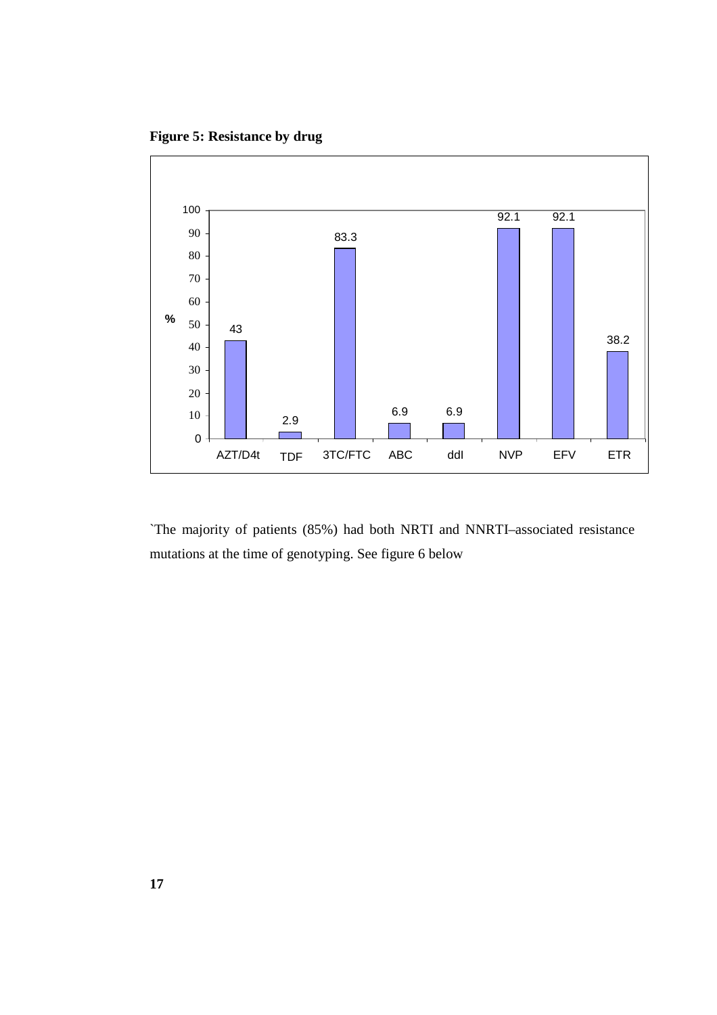**Figure 5: Resistance by drug** 



`The majority of patients (85%) had both NRTI and NNRTI–associated resistance mutations at the time of genotyping. See figure 6 below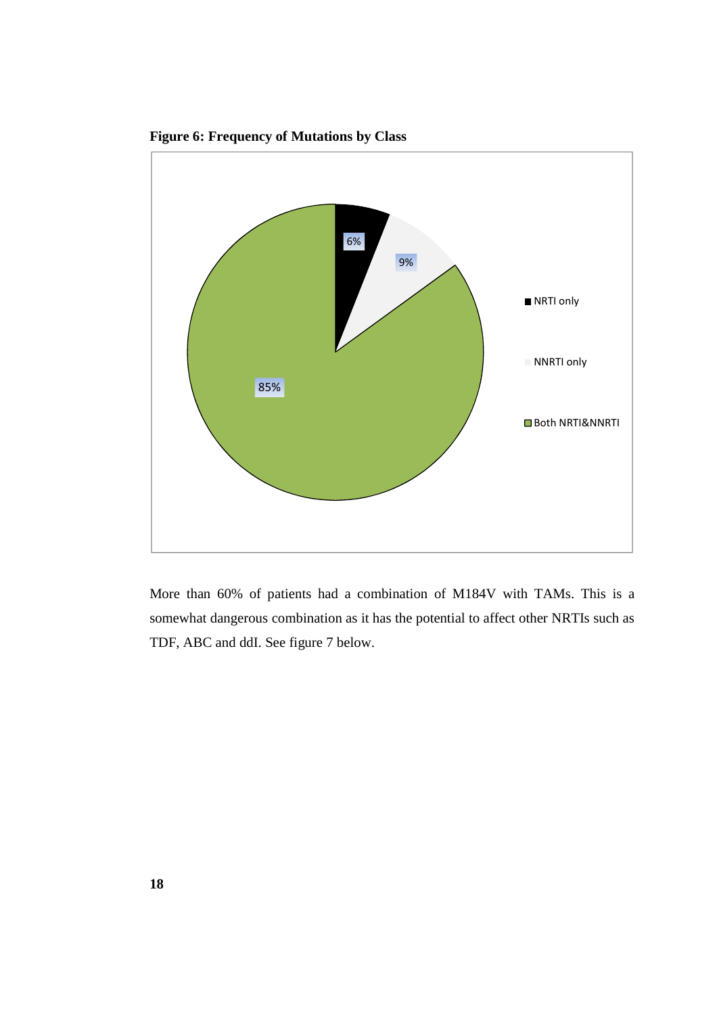

**Figure 6: Frequency of Mutations by Class** 

More than 60% of patients had a combination of M184V with TAMs. This is a somewhat dangerous combination as it has the potential to affect other NRTIs such as TDF, ABC and ddI. See figure 7 below.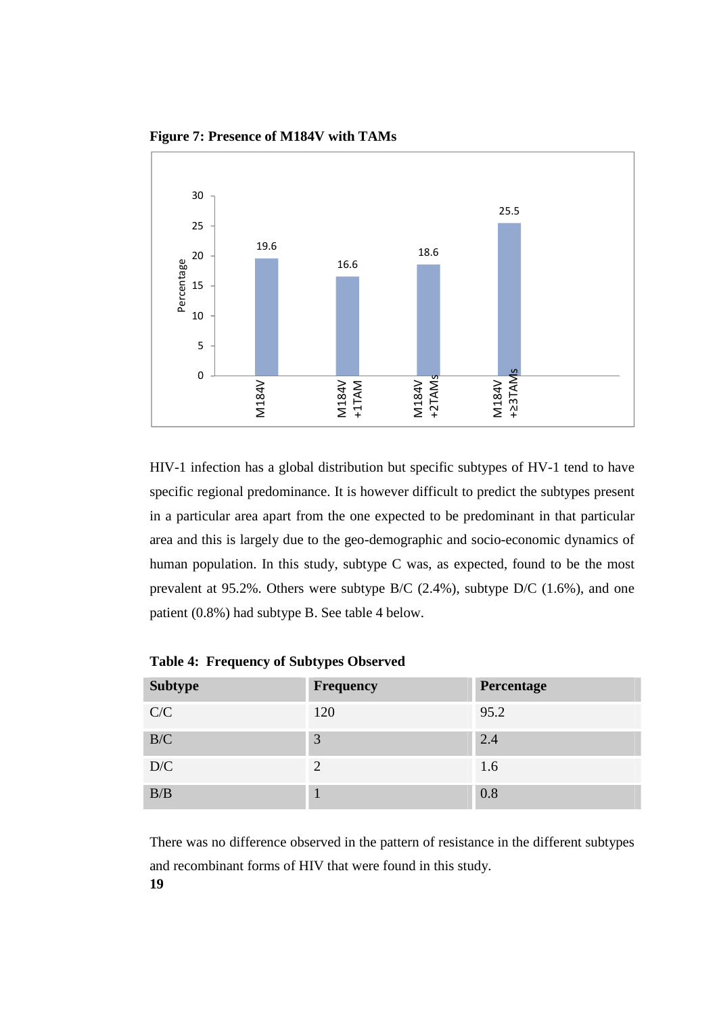

**Figure 7: Presence of M184V with TAMs** 

HIV-1 infection has a global distribution but specific subtypes of HV-1 tend to have specific regional predominance. It is however difficult to predict the subtypes present in a particular area apart from the one expected to be predominant in that particular area and this is largely due to the geo-demographic and socio-economic dynamics of human population. In this study, subtype C was, as expected, found to be the most prevalent at 95.2%. Others were subtype B/C (2.4%), subtype D/C (1.6%), and one patient (0.8%) had subtype B. See table 4 below.

| <b>Subtype</b> | Frequency | Percentage |
|----------------|-----------|------------|
| C/C            | 120       | 95.2       |
| B/C            | 3         | 2.4        |
| D/C            | 2         | 1.6        |
| B/B            |           | 0.8        |

**Table 4: Frequency of Subtypes Observed** 

**19**  There was no difference observed in the pattern of resistance in the different subtypes and recombinant forms of HIV that were found in this study.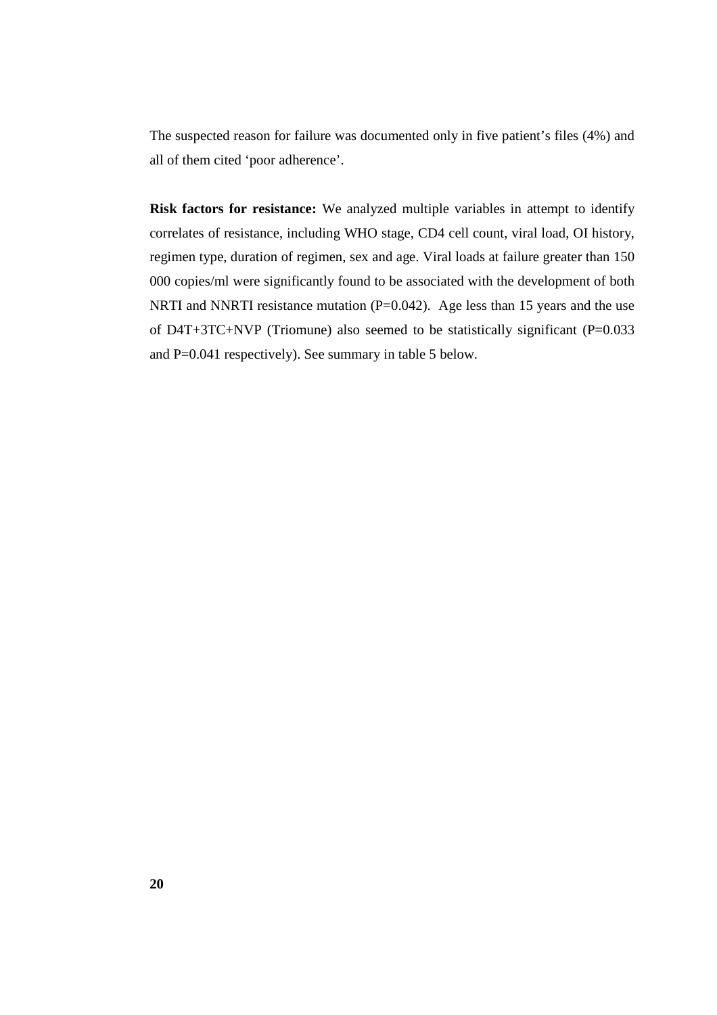The suspected reason for failure was documented only in five patient's files (4%) and all of them cited 'poor adherence'.

**Risk factors for resistance:** We analyzed multiple variables in attempt to identify correlates of resistance, including WHO stage, CD4 cell count, viral load, OI history, regimen type, duration of regimen, sex and age. Viral loads at failure greater than 150 000 copies/ml were significantly found to be associated with the development of both NRTI and NNRTI resistance mutation (P=0.042). Age less than 15 years and the use of D4T+3TC+NVP (Triomune) also seemed to be statistically significant (P=0.033 and P=0.041 respectively). See summary in table 5 below.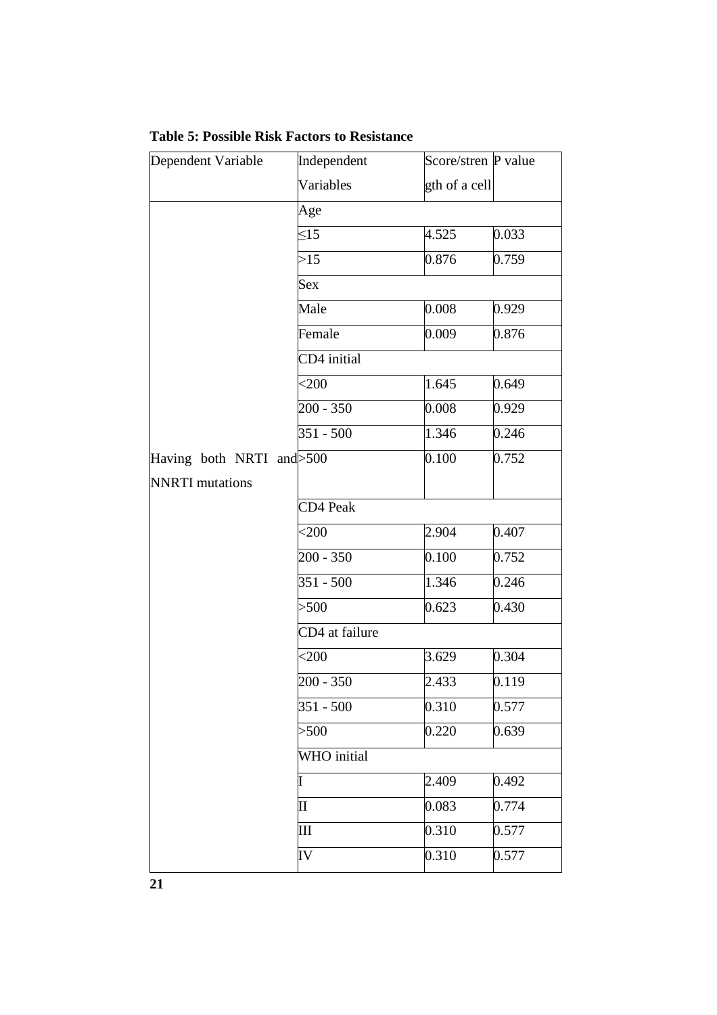| Dependent Variable        | Independent    | Score/stren P value |       |
|---------------------------|----------------|---------------------|-------|
|                           | Variables      | gth of a cell       |       |
|                           | Age            |                     |       |
|                           | $\leq$ 15      | 4.525               | 0.033 |
|                           | >15            | 0.876               | 0.759 |
|                           | <b>Sex</b>     |                     |       |
|                           | Male           | 0.008               | 0.929 |
|                           | Female         | 0.009               | 0.876 |
|                           | CD4 initial    |                     |       |
|                           | $<$ 200        | 1.645               | 0.649 |
|                           | $200 - 350$    | 0.008               | 0.929 |
|                           | $351 - 500$    | 1.346               | 0.246 |
| Having both NRTI and >500 |                | 0.100               | 0.752 |
| <b>NNRTI</b> mutations    |                |                     |       |
|                           | CD4 Peak       |                     |       |
|                           | $<$ 200        | 2.904               | 0.407 |
|                           | $200 - 350$    | 0.100               | 0.752 |
|                           | $351 - 500$    | 1.346               | 0.246 |
|                           | > 500          | 0.623               | 0.430 |
|                           | CD4 at failure |                     |       |
|                           | $<$ 200        | 3.629               | 0.304 |
|                           | $200 - 350$    | 2.433               | 0.119 |
|                           | $351 - 500$    | 0.310               | 0.577 |
|                           | > 500          | 0.220               | 0.639 |
|                           | WHO initial    |                     |       |
|                           |                | 2.409               | 0.492 |
|                           | $\mathbf{I}$   | 0.083               | 0.774 |
|                           | III            | 0.310               | 0.577 |
|                           | IV             | 0.310               | 0.577 |

**Table 5: Possible Risk Factors to Resistance**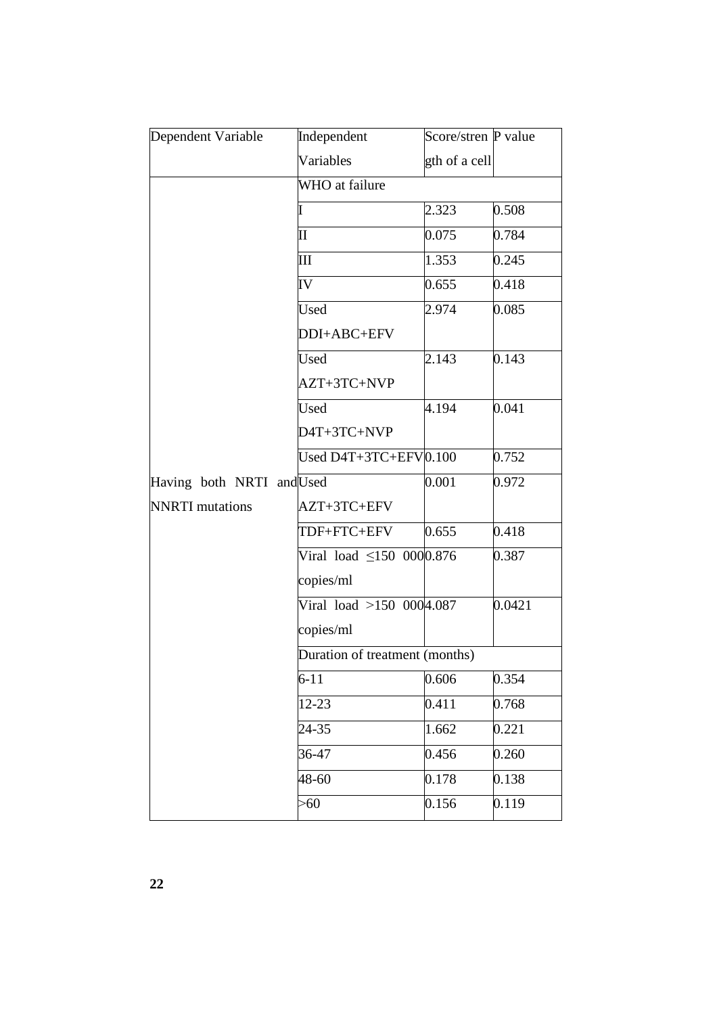| Dependent Variable        | Independent                    | Score/stren P value |        |
|---------------------------|--------------------------------|---------------------|--------|
|                           | Variables                      | gth of a cell       |        |
|                           | WHO at failure                 |                     |        |
|                           |                                | 2.323               | 0.508  |
|                           | $\rm{II}$                      | 0.075               | 0.784  |
|                           | III                            | 1.353               | 0.245  |
|                           | IV                             | 0.655               | 0.418  |
|                           | <b>Used</b>                    | 2.974               | 0.085  |
|                           | DDI+ABC+EFV                    |                     |        |
|                           | Used                           | 2.143               | 0.143  |
|                           | AZT+3TC+NVP                    |                     |        |
|                           | Used                           | 4.194               | 0.041  |
|                           | D4T+3TC+NVP                    |                     |        |
|                           | Used D4T+3TC+EFV0.100          |                     | 0.752  |
| Having both NRTI and Used |                                | 0.001               | 0.972  |
| <b>NNRTI</b> mutations    | AZT+3TC+EFV                    |                     |        |
|                           | TDF+FTC+EFV                    | 0.655               | 0.418  |
|                           | Viral load $\leq$ 150 0000.876 |                     | 0.387  |
|                           | copies/ml                      |                     |        |
|                           | Viral load $>150$ 0004.087     |                     | 0.0421 |
|                           | copies/ml                      |                     |        |
|                           | Duration of treatment (months) |                     |        |
|                           | $6 - 11$                       | 0.606               | 0.354  |
|                           | 12-23                          | 0.411               | 0.768  |
|                           | 24-35                          | 1.662               | 0.221  |
|                           | 36-47                          | 0.456               | 0.260  |
|                           | 48-60                          | 0.178               | 0.138  |
|                           | >60                            | 0.156               | 0.119  |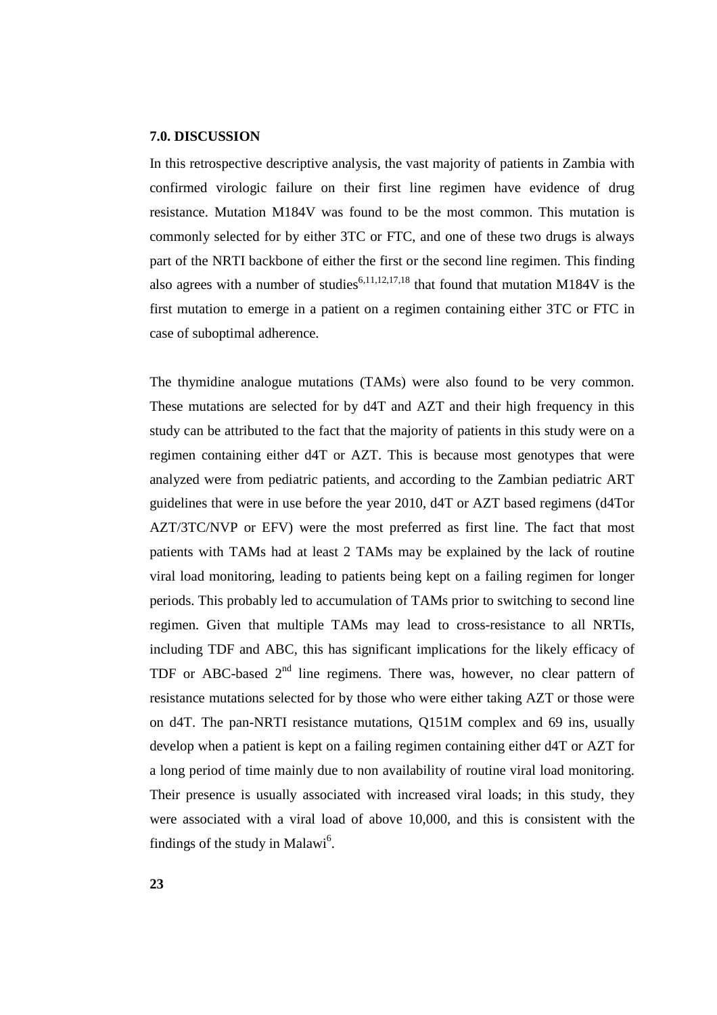#### **7.0. DISCUSSION**

In this retrospective descriptive analysis, the vast majority of patients in Zambia with confirmed virologic failure on their first line regimen have evidence of drug resistance. Mutation M184V was found to be the most common. This mutation is commonly selected for by either 3TC or FTC, and one of these two drugs is always part of the NRTI backbone of either the first or the second line regimen. This finding also agrees with a number of studies<sup>6,11,12,17,18</sup> that found that mutation M184V is the first mutation to emerge in a patient on a regimen containing either 3TC or FTC in case of suboptimal adherence.

The thymidine analogue mutations (TAMs) were also found to be very common. These mutations are selected for by d4T and AZT and their high frequency in this study can be attributed to the fact that the majority of patients in this study were on a regimen containing either d4T or AZT. This is because most genotypes that were analyzed were from pediatric patients, and according to the Zambian pediatric ART guidelines that were in use before the year 2010, d4T or AZT based regimens (d4Tor AZT/3TC/NVP or EFV) were the most preferred as first line. The fact that most patients with TAMs had at least 2 TAMs may be explained by the lack of routine viral load monitoring, leading to patients being kept on a failing regimen for longer periods. This probably led to accumulation of TAMs prior to switching to second line regimen. Given that multiple TAMs may lead to cross-resistance to all NRTIs, including TDF and ABC, this has significant implications for the likely efficacy of TDF or ABC-based  $2<sup>nd</sup>$  line regimens. There was, however, no clear pattern of resistance mutations selected for by those who were either taking AZT or those were on d4T. The pan-NRTI resistance mutations, Q151M complex and 69 ins, usually develop when a patient is kept on a failing regimen containing either d4T or AZT for a long period of time mainly due to non availability of routine viral load monitoring. Their presence is usually associated with increased viral loads; in this study, they were associated with a viral load of above 10,000*,* and this is consistent with the findings of the study in Malawi<sup>6</sup>.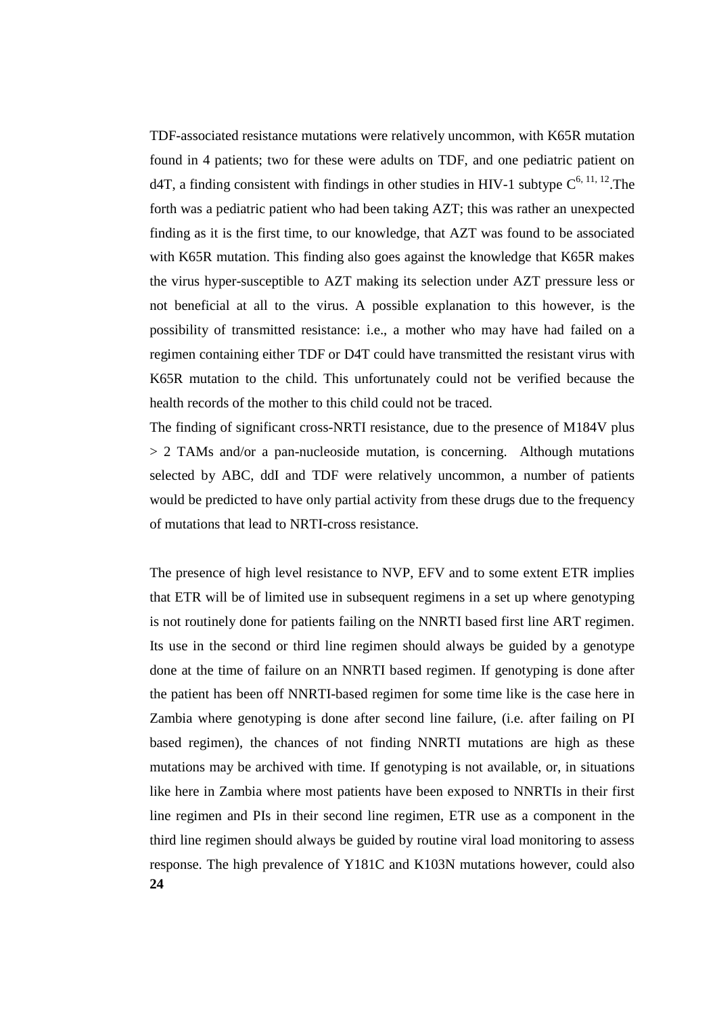TDF-associated resistance mutations were relatively uncommon, with K65R mutation found in 4 patients; two for these were adults on TDF, and one pediatric patient on d4T, a finding consistent with findings in other studies in HIV-1 subtype  $C^{6, 11, 12}$ . The forth was a pediatric patient who had been taking AZT; this was rather an unexpected finding as it is the first time, to our knowledge, that AZT was found to be associated with K65R mutation. This finding also goes against the knowledge that K65R makes the virus hyper-susceptible to AZT making its selection under AZT pressure less or not beneficial at all to the virus. A possible explanation to this however, is the possibility of transmitted resistance: i.e., a mother who may have had failed on a regimen containing either TDF or D4T could have transmitted the resistant virus with K65R mutation to the child. This unfortunately could not be verified because the health records of the mother to this child could not be traced.

The finding of significant cross-NRTI resistance, due to the presence of M184V plus > 2 TAMs and/or a pan-nucleoside mutation, is concerning. Although mutations selected by ABC, ddI and TDF were relatively uncommon, a number of patients would be predicted to have only partial activity from these drugs due to the frequency of mutations that lead to NRTI-cross resistance.

**24**  The presence of high level resistance to NVP, EFV and to some extent ETR implies that ETR will be of limited use in subsequent regimens in a set up where genotyping is not routinely done for patients failing on the NNRTI based first line ART regimen. Its use in the second or third line regimen should always be guided by a genotype done at the time of failure on an NNRTI based regimen. If genotyping is done after the patient has been off NNRTI-based regimen for some time like is the case here in Zambia where genotyping is done after second line failure, (i.e. after failing on PI based regimen), the chances of not finding NNRTI mutations are high as these mutations may be archived with time. If genotyping is not available, or, in situations like here in Zambia where most patients have been exposed to NNRTIs in their first line regimen and PIs in their second line regimen, ETR use as a component in the third line regimen should always be guided by routine viral load monitoring to assess response. The high prevalence of Y181C and K103N mutations however, could also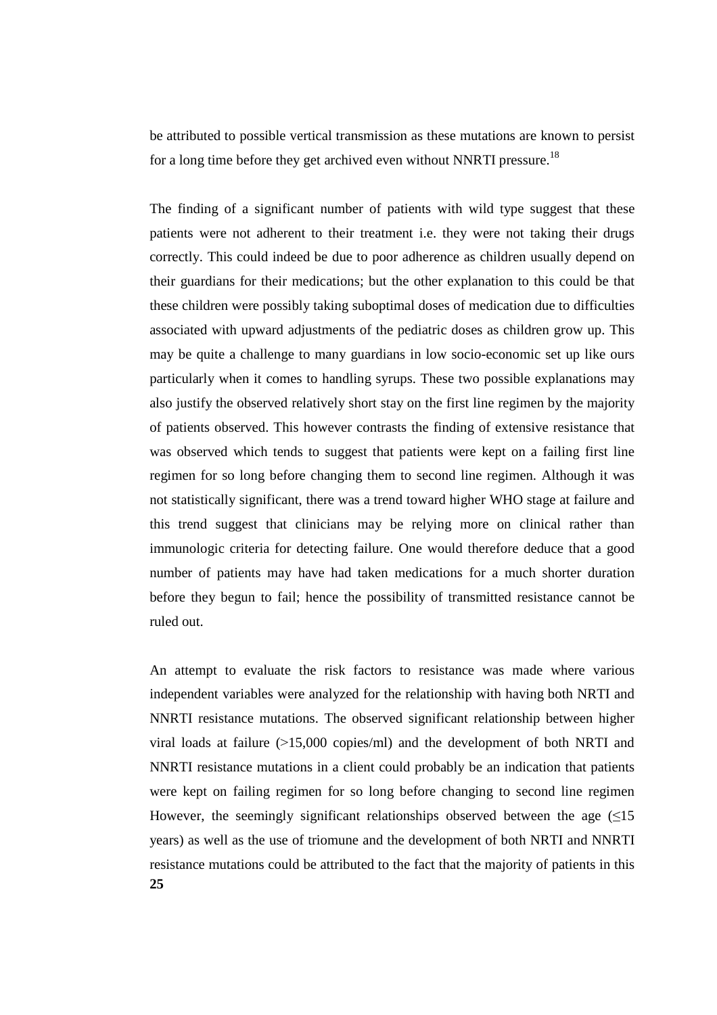be attributed to possible vertical transmission as these mutations are known to persist for a long time before they get archived even without NNRTI pressure.<sup>18</sup>

The finding of a significant number of patients with wild type suggest that these patients were not adherent to their treatment i.e. they were not taking their drugs correctly. This could indeed be due to poor adherence as children usually depend on their guardians for their medications; but the other explanation to this could be that these children were possibly taking suboptimal doses of medication due to difficulties associated with upward adjustments of the pediatric doses as children grow up. This may be quite a challenge to many guardians in low socio-economic set up like ours particularly when it comes to handling syrups. These two possible explanations may also justify the observed relatively short stay on the first line regimen by the majority of patients observed. This however contrasts the finding of extensive resistance that was observed which tends to suggest that patients were kept on a failing first line regimen for so long before changing them to second line regimen. Although it was not statistically significant, there was a trend toward higher WHO stage at failure and this trend suggest that clinicians may be relying more on clinical rather than immunologic criteria for detecting failure. One would therefore deduce that a good number of patients may have had taken medications for a much shorter duration before they begun to fail; hence the possibility of transmitted resistance cannot be ruled out.

**25**  An attempt to evaluate the risk factors to resistance was made where various independent variables were analyzed for the relationship with having both NRTI and NNRTI resistance mutations. The observed significant relationship between higher viral loads at failure  $(>15,000 \text{ copies/ml})$  and the development of both NRTI and NNRTI resistance mutations in a client could probably be an indication that patients were kept on failing regimen for so long before changing to second line regimen However, the seemingly significant relationships observed between the age  $(\leq 15$ years) as well as the use of triomune and the development of both NRTI and NNRTI resistance mutations could be attributed to the fact that the majority of patients in this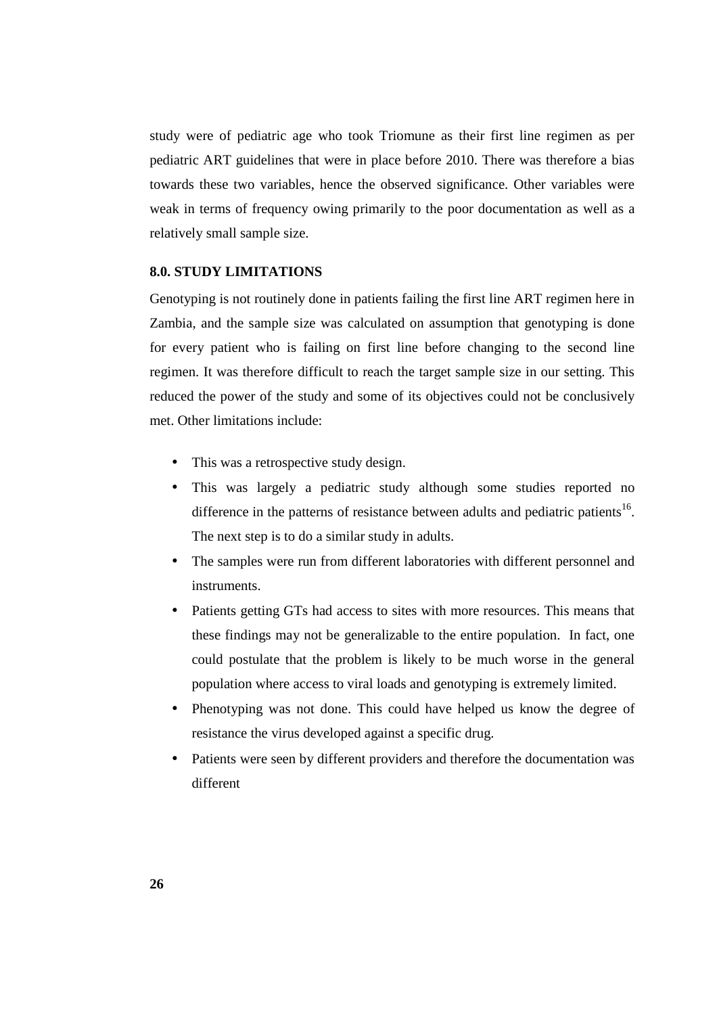study were of pediatric age who took Triomune as their first line regimen as per pediatric ART guidelines that were in place before 2010. There was therefore a bias towards these two variables, hence the observed significance. Other variables were weak in terms of frequency owing primarily to the poor documentation as well as a relatively small sample size.

## **8.0. STUDY LIMITATIONS**

Genotyping is not routinely done in patients failing the first line ART regimen here in Zambia, and the sample size was calculated on assumption that genotyping is done for every patient who is failing on first line before changing to the second line regimen. It was therefore difficult to reach the target sample size in our setting. This reduced the power of the study and some of its objectives could not be conclusively met. Other limitations include:

- This was a retrospective study design.
- This was largely a pediatric study although some studies reported no difference in the patterns of resistance between adults and pediatric patients<sup>16</sup>. The next step is to do a similar study in adults.
- The samples were run from different laboratories with different personnel and instruments.
- Patients getting GTs had access to sites with more resources. This means that these findings may not be generalizable to the entire population. In fact, one could postulate that the problem is likely to be much worse in the general population where access to viral loads and genotyping is extremely limited.
- Phenotyping was not done. This could have helped us know the degree of resistance the virus developed against a specific drug.
- Patients were seen by different providers and therefore the documentation was different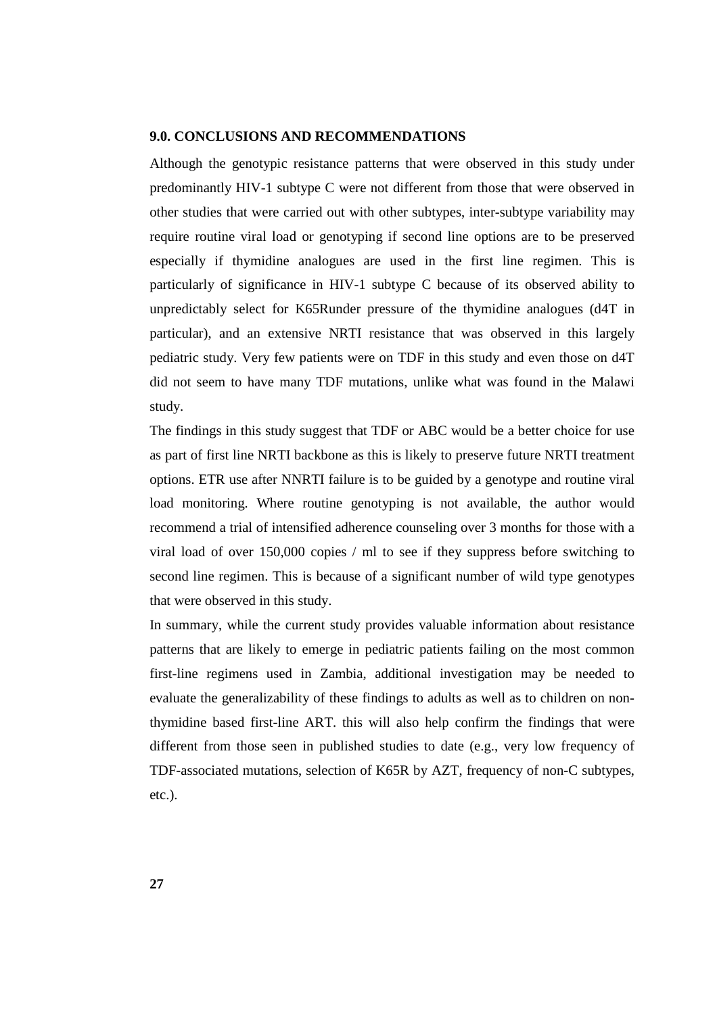#### **9.0. CONCLUSIONS AND RECOMMENDATIONS**

Although the genotypic resistance patterns that were observed in this study under predominantly HIV-1 subtype C were not different from those that were observed in other studies that were carried out with other subtypes, inter-subtype variability may require routine viral load or genotyping if second line options are to be preserved especially if thymidine analogues are used in the first line regimen. This is particularly of significance in HIV-1 subtype C because of its observed ability to unpredictably select for K65Runder pressure of the thymidine analogues (d4T in particular), and an extensive NRTI resistance that was observed in this largely pediatric study. Very few patients were on TDF in this study and even those on d4T did not seem to have many TDF mutations, unlike what was found in the Malawi study.

The findings in this study suggest that TDF or ABC would be a better choice for use as part of first line NRTI backbone as this is likely to preserve future NRTI treatment options. ETR use after NNRTI failure is to be guided by a genotype and routine viral load monitoring. Where routine genotyping is not available, the author would recommend a trial of intensified adherence counseling over 3 months for those with a viral load of over 150,000 copies / ml to see if they suppress before switching to second line regimen. This is because of a significant number of wild type genotypes that were observed in this study.

In summary, while the current study provides valuable information about resistance patterns that are likely to emerge in pediatric patients failing on the most common first-line regimens used in Zambia, additional investigation may be needed to evaluate the generalizability of these findings to adults as well as to children on nonthymidine based first-line ART. this will also help confirm the findings that were different from those seen in published studies to date (e.g., very low frequency of TDF-associated mutations, selection of K65R by AZT, frequency of non-C subtypes, etc.).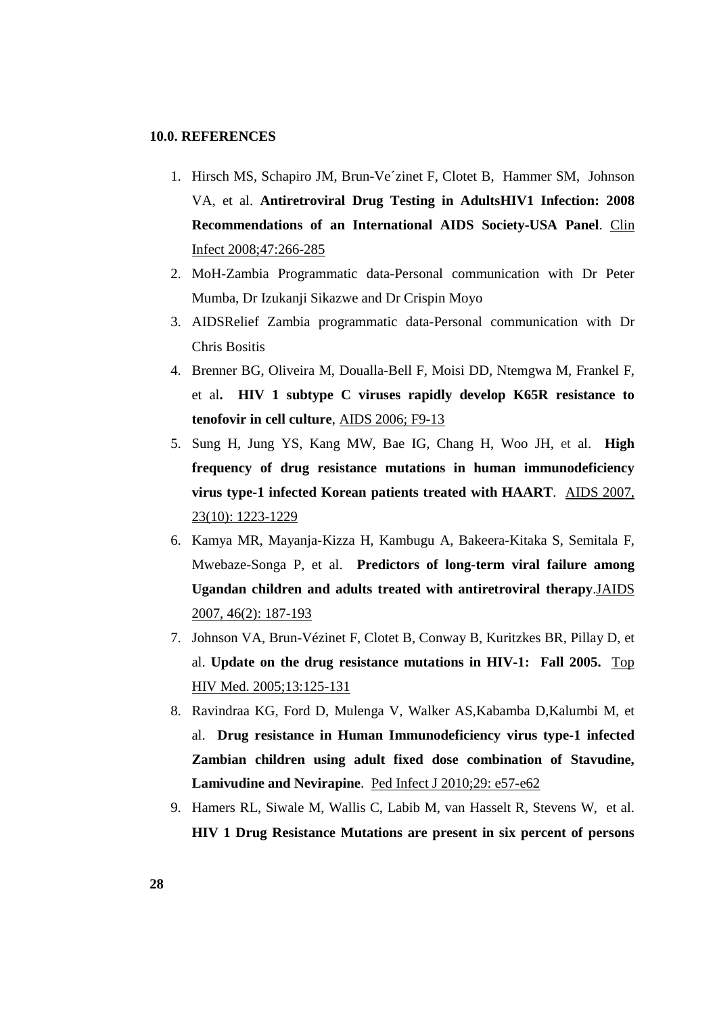## **10.0. REFERENCES**

- 1. Hirsch MS, Schapiro JM, Brun-Ve´zinet F, Clotet B, Hammer SM, Johnson VA, et al. **Antiretroviral Drug Testing in AdultsHIV1 Infection: 2008 Recommendations of an International AIDS Society-USA Panel**. Clin Infect 2008;47:266-285
- 2. MoH-Zambia Programmatic data-Personal communication with Dr Peter Mumba, Dr Izukanji Sikazwe and Dr Crispin Moyo
- 3. AIDSRelief Zambia programmatic data-Personal communication with Dr Chris Bositis
- 4. Brenner BG, Oliveira M, Doualla-Bell F, Moisi DD, Ntemgwa M, Frankel F, et al**. HIV 1 subtype C viruses rapidly develop K65R resistance to tenofovir in cell culture**, AIDS 2006; F9-13
- 5. Sung H, Jung YS, Kang MW, Bae IG, Chang H, Woo JH, et al. **High frequency of drug resistance mutations in human immunodeficiency virus type-1 infected Korean patients treated with HAART**. AIDS 2007, 23(10): 1223-1229
- 6. Kamya MR, Mayanja-Kizza H, Kambugu A, Bakeera-Kitaka S, Semitala F, Mwebaze-Songa P, et al. **Predictors of long-term viral failure among Ugandan children and adults treated with antiretroviral therapy**.JAIDS 2007, 46(2): 187-193
- 7. Johnson VA, Brun-Vézinet F, Clotet B, Conway B, Kuritzkes BR, Pillay D, et al. **Update on the drug resistance mutations in HIV-1: Fall 2005.** Top HIV Med. 2005;13:125-131
- 8. Ravindraa KG, Ford D, Mulenga V, Walker AS,Kabamba D,Kalumbi M, et al. **Drug resistance in Human Immunodeficiency virus type-1 infected Zambian children using adult fixed dose combination of Stavudine, Lamivudine and Nevirapine**. Ped Infect J 2010;29: e57-e62
- 9. Hamers RL, Siwale M, Wallis C, Labib M, van Hasselt R, Stevens W, et al. **HIV 1 Drug Resistance Mutations are present in six percent of persons**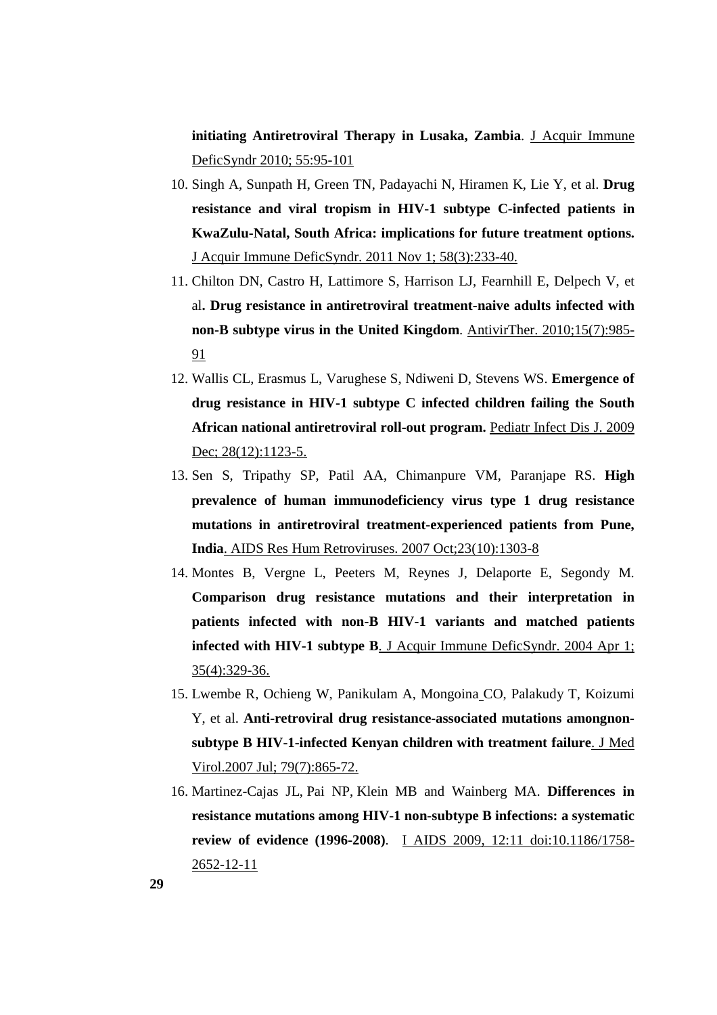**initiating Antiretroviral Therapy in Lusaka, Zambia**. J Acquir Immune DeficSyndr 2010; 55:95-101

- 10. Singh A, Sunpath H, Green TN, Padayachi N, Hiramen K, Lie Y, et al. **Drug resistance and viral tropism in HIV-1 subtype C-infected patients in KwaZulu-Natal, South Africa: implications for future treatment options.**  J Acquir Immune DeficSyndr. 2011 Nov 1; 58(3):233-40.
- 11. Chilton DN, Castro H, Lattimore S, Harrison LJ, Fearnhill E, Delpech V, et al**. Drug resistance in antiretroviral treatment-naive adults infected with non-B subtype virus in the United Kingdom**. AntivirTher. 2010;15(7):985- 91
- 12. Wallis CL, Erasmus L, Varughese S, Ndiweni D, Stevens WS. **Emergence of drug resistance in HIV-1 subtype C infected children failing the South African national antiretroviral roll-out program.** Pediatr Infect Dis J. 2009 Dec; 28(12):1123-5.
- 13. Sen S, Tripathy SP, Patil AA, Chimanpure VM, Paranjape RS. **High prevalence of human immunodeficiency virus type 1 drug resistance mutations in antiretroviral treatment-experienced patients from Pune, India**. AIDS Res Hum Retroviruses. 2007 Oct;23(10):1303-8
- 14. Montes B, Vergne L, Peeters M, Reynes J, Delaporte E, Segondy M. **Comparison drug resistance mutations and their interpretation in patients infected with non-B HIV-1 variants and matched patients infected with HIV-1 subtype B**. J Acquir Immune DeficSyndr. 2004 Apr 1; 35(4):329-36.
- 15. Lwembe R, Ochieng W, Panikulam A, Mongoina CO, Palakudy T, Koizumi Y, et al. **Anti-retroviral drug resistance-associated mutations amongnonsubtype B HIV-1-infected Kenyan children with treatment failure**. J Med Virol.2007 Jul; 79(7):865-72.
- 16. Martinez-Cajas JL, Pai NP, Klein MB and Wainberg MA. **Differences in resistance mutations among HIV-1 non-subtype B infections: a systematic review of evidence (1996-2008)**. I AIDS 2009, 12:11 doi:10.1186/1758- 2652-12-11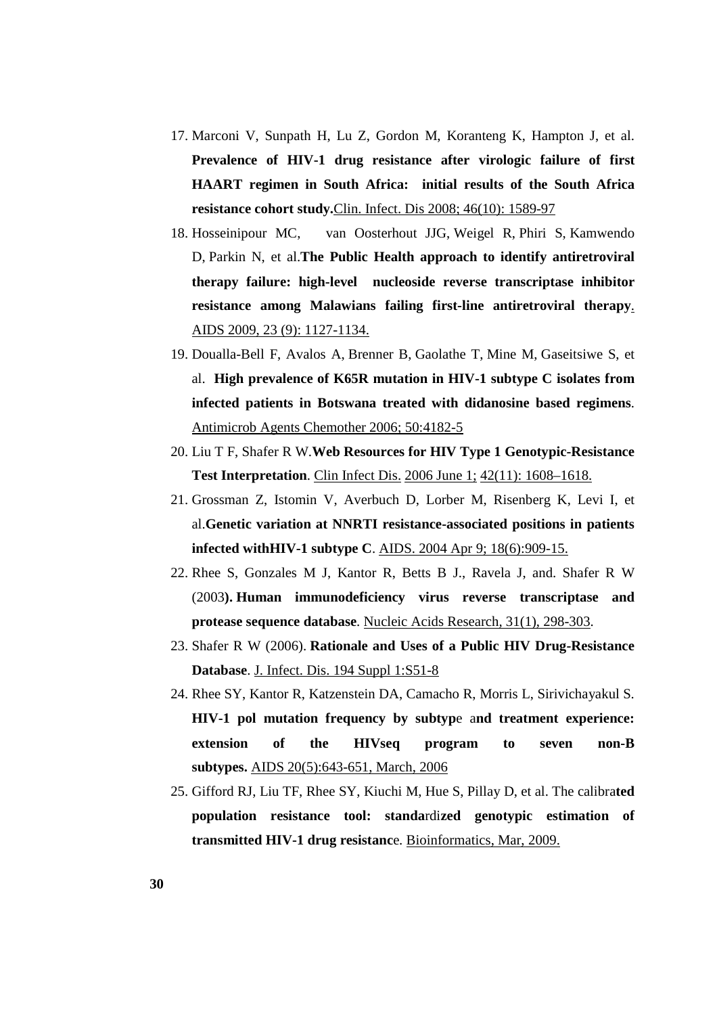- 17. Marconi V, Sunpath H, Lu Z, Gordon M, Koranteng K, Hampton J, et al. **Prevalence of HIV-1 drug resistance after virologic failure of first HAART regimen in South Africa: initial results of the South Africa resistance cohort study.**Clin. Infect. Dis 2008; 46(10): 1589-97
- 18. Hosseinipour MC, van Oosterhout JJG, Weigel R, Phiri S, Kamwendo D, Parkin N, et al.**The Public Health approach to identify antiretroviral therapy failure: high-level nucleoside reverse transcriptase inhibitor resistance among Malawians failing first-line antiretroviral therapy**. AIDS 2009, 23 (9): 1127-1134.
- 19. Doualla-Bell F, Avalos A, Brenner B, Gaolathe T, Mine M, Gaseitsiwe S, et al. **High prevalence of K65R mutation in HIV-1 subtype C isolates from infected patients in Botswana treated with didanosine based regimens**. Antimicrob Agents Chemother 2006; 50:4182-5
- 20. Liu T F, Shafer R W.**Web Resources for HIV Type 1 Genotypic-Resistance Test Interpretation**. Clin Infect Dis. 2006 June 1; 42(11): 1608–1618.
- 21. Grossman Z, Istomin V, Averbuch D, Lorber M, Risenberg K, Levi I, et al.**Genetic variation at NNRTI resistance-associated positions in patients infected withHIV-1 subtype C**. AIDS. 2004 Apr 9; 18(6):909-15.
- 22. Rhee S, Gonzales M J, Kantor R, Betts B J., Ravela J, and. Shafer R W (2003**). Human immunodeficiency virus reverse transcriptase and protease sequence database**. Nucleic Acids Research*,* 31(1), 298-303.
- 23. Shafer R W (2006). **Rationale and Uses of a Public HIV Drug-Resistance Database**. J. Infect. Dis. 194 Suppl 1:S51-8
- 24. Rhee SY, Kantor R, Katzenstein DA, Camacho R, Morris L, Sirivichayakul S. **HIV-1 pol mutation frequency by subtyp**e a**nd treatment experience: extension of the HIVseq program to seven non-B subtypes.** AIDS 20(5):643-651, March, 2006
- 25. Gifford RJ, Liu TF, Rhee SY, Kiuchi M, Hue S, Pillay D, et al. The calibra**ted population resistance tool: standa**rdi**zed genotypic estimation of transmitted HIV-1 drug resistanc**e. Bioinformatics, Mar, 2009.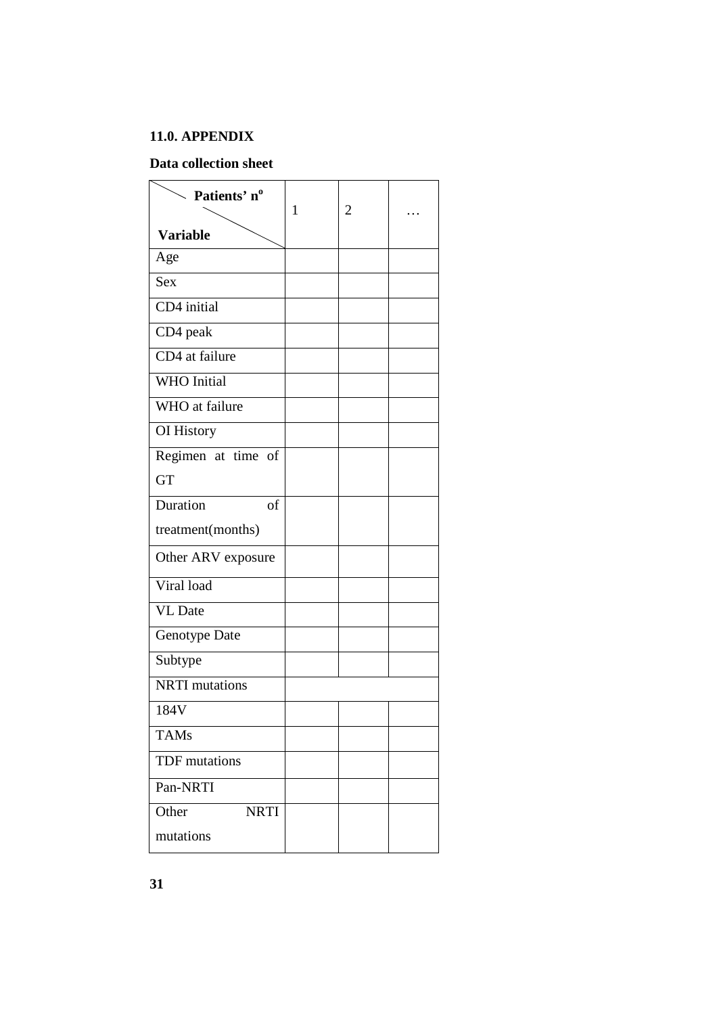## **11.0. APPENDIX**

## **Data collection sheet**

| $\searrow$ Patients' n <sup>o</sup> | $\mathbf{1}$ | 2 |  |
|-------------------------------------|--------------|---|--|
| <b>Variable</b>                     |              |   |  |
| Age                                 |              |   |  |
| <b>Sex</b>                          |              |   |  |
| CD4 initial                         |              |   |  |
| CD4 peak                            |              |   |  |
| CD4 at failure                      |              |   |  |
| <b>WHO</b> Initial                  |              |   |  |
| WHO at failure                      |              |   |  |
| OI History                          |              |   |  |
| Regimen at time of                  |              |   |  |
| <b>GT</b>                           |              |   |  |
| Duration<br><sub>of</sub>           |              |   |  |
| treatment(months)                   |              |   |  |
| Other ARV exposure                  |              |   |  |
| Viral load                          |              |   |  |
| <b>VL</b> Date                      |              |   |  |
| Genotype Date                       |              |   |  |
| Subtype                             |              |   |  |
| <b>NRTI</b> mutations               |              |   |  |
| 184V                                |              |   |  |
| <b>TAMs</b>                         |              |   |  |
| <b>TDF</b> mutations                |              |   |  |
| Pan-NRTI                            |              |   |  |
| Other<br><b>NRTI</b>                |              |   |  |
| mutations                           |              |   |  |

**31**